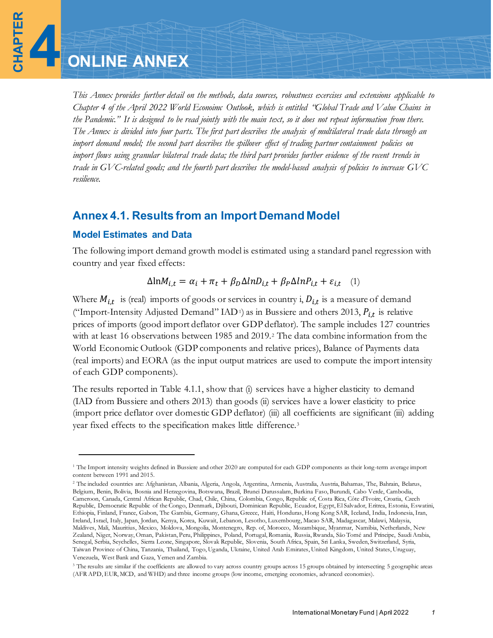**CHAPTER 4**

*This Annex provides further detail on the methods, data sources, robustness exercises and extensions applicable to Chapter 4 of the April 2022 World Econoimc Outlook, which is entitled "Global Trade and Value Chains in the Pandemic." It is designed to be read jointly with the main text, so it does not repeat information from there. The Annex is divided into four parts. The first part describes the analysis of multilateral trade data through an import demand model; the second part describes the spillover effect of trading partner containment policies on import flows using granular bilateral trade data; the third part provides further evidence of the recent trends in trade in GVC-related goods; and the fourth part describes the model-based analysis of policies to increase GVC resilience.*

# **Annex 4.1. Results from an Import Demand Model**

# **Model Estimates and Data**

The following import demand growth model is estimated using a standard panel regression with country and year fixed effects:

$$
\Delta \ln M_{i,t} = \alpha_i + \pi_t + \beta_D \Delta \ln D_{i,t} + \beta_P \Delta \ln P_{i,t} + \varepsilon_{i,t} \quad (1)
$$

Where  $M_{i,t}$  is (real) imports of goods or services in country i,  $D_{i,t}$  is a measure of demand ("Import-Intensity Adjusted Demand" IAD<sup>[1](#page-0-0)</sup>) as in Bussiere and others 2013,  $P_{i,t}$  is relative prices of imports (good import deflator over GDP deflator). The sample includes 127 countries with at least 16 observations between 1985 and 2019.[2](#page-0-1) The data combine information from the World Economic Outlook (GDP components and relative prices), Balance of Payments data (real imports) and EORA (as the input output matrices are used to compute the import intensity of each GDP components).

The results reported in Table 4.1.1, show that (i) services have a higher elasticity to demand (IAD from Bussiere and others 2013) than goods (ii) services have a lower elasticity to price (import price deflator over domestic GDP deflator) (iii) all coefficients are significant (iii) adding year fixed effects to the specification makes little difference.[3](#page-0-2)

<span id="page-0-0"></span><sup>&</sup>lt;sup>1</sup> The Import intensity weights defined in Bussiere and other 2020 are computed for each GDP components as their long-term average import content between 1991 and 2015.

<span id="page-0-1"></span><sup>2</sup> The included countries are: Afghanistan, Albania, Algeria, Angola, Argentina, Armenia, Australia, Austria, Bahamas, The, Bahrain, Belarus, Belgium, Benin, Bolivia, Bosnia and Herzegovina, Botswana, Brazil, Brunei Darussalam, Burkina Faso, Burundi, Cabo Verde, Cambodia, Cameroon, Canada, Central African Republic, Chad, Chile, China, Colombia, Congo, Republic of, Costa Rica, Côte d'Ivoire, Croatia, Czech Republic, Democratic Republic of the Congo, Denmark, Djibouti, Dominican Republic, Ecuador, Egypt, El Salvador, Eritrea, Estonia, Eswatini, Ethiopia, Finland, France, Gabon, The Gambia, Germany, Ghana, Greece, Haiti, Honduras, Hong Kong SAR, Iceland, India, Indonesia, Iran, Ireland, Israel, Italy, Japan, Jordan, Kenya, Korea, Kuwait, Lebanon, Lesotho, Luxembourg, Macao SAR, Madagascar, Malawi, Malaysia, Maldives, Mali, Mauritius, Mexico, Moldova, Mongolia, Montenegro, Rep. of, Morocco, Mozambique, Myanmar, Namibia, Netherlands, New Zealand, Niger, Norway, Oman, Pakistan, Peru, Philippines, Poland, Portugal, Romania, Russia, Rwanda, São Tomé and Príncipe, Saudi Arabia, Senegal, Serbia, Seychelles, Sierra Leone, Singapore, Slovak Republic, Slovenia, South Africa, Spain, Sri Lanka, Sweden, Switzerland, Syria, Taiwan Province of China, Tanzania, Thailand, Togo, Uganda, Ukraine, United Arab Emirates, United Kingdom, United States, Uruguay, Venezuela, West Bank and Gaza, Yemen and Zambia.

<span id="page-0-2"></span><sup>&</sup>lt;sup>3</sup> The results are similar if the coefficients are allowed to vary across country groups across 15 groups obtained by intersecting 5 geographic areas (AFR APD, EUR, MCD, and WHD) and three income groups (low income, emerging economies, advanced economies).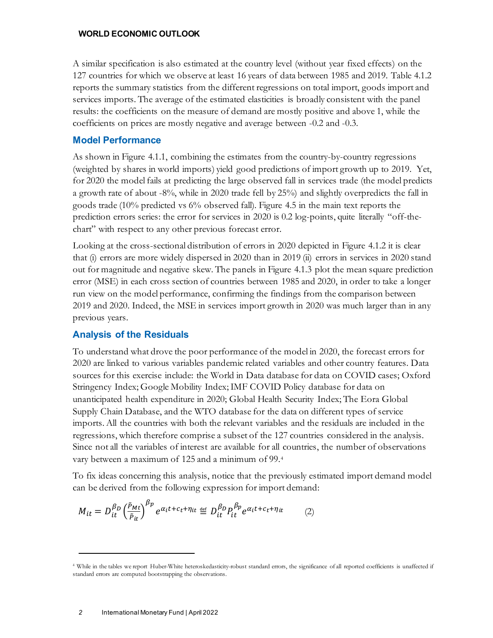A similar specification is also estimated at the country level (without year fixed effects) on the 127 countries for which we observe at least 16 years of data between 1985 and 2019. Table 4.1.2 reports the summary statistics from the different regressions on total import, goods import and services imports. The average of the estimated elasticities is broadly consistent with the panel results: the coefficients on the measure of demand are mostly positive and above 1, while the coefficients on prices are mostly negative and average between -0.2 and -0.3.

# **Model Performance**

As shown in Figure 4.1.1, combining the estimates from the country-by-country regressions (weighted by shares in world imports) yield good predictions of import growth up to 2019. Yet, for 2020 the model fails at predicting the large observed fall in services trade (the model predicts a growth rate of about -8%, while in 2020 trade fell by 25%) and slightly overpredicts the fall in goods trade (10% predicted vs 6% observed fall). Figure 4.5 in the main text reports the prediction errors series: the error for services in 2020 is 0.2 log-points, quite literally "off-thechart" with respect to any other previous forecast error.

Looking at the cross-sectional distribution of errors in 2020 depicted in Figure 4.1.2 it is clear that (i) errors are more widely dispersed in 2020 than in 2019 (ii) errors in services in 2020 stand out for magnitude and negative skew. The panels in Figure 4.1.3 plot the mean square prediction error (MSE) in each cross section of countries between 1985 and 2020, in order to take a longer run view on the model performance, confirming the findings from the comparison between 2019 and 2020. Indeed, the MSE in services import growth in 2020 was much larger than in any previous years.

# **Analysis of the Residuals**

To understand what drove the poor performance of the model in 2020, the forecast errors for 2020 are linked to various variables pandemic related variables and other country features. Data sources for this exercise include: the World in Data database for data on COVID cases; Oxford Stringency Index; Google Mobility Index; IMF COVID Policy database for data on unanticipated health expenditure in 2020; Global Health Security Index; The Eora Global Supply Chain Database, and the WTO database for the data on different types of service imports. All the countries with both the relevant variables and the residuals are included in the regressions, which therefore comprise a subset of the 127 countries considered in the analysis. Since not all the variables of interest are available for all countries, the number of observations vary between a maximum of 125 and a minimum of 99.[4](#page-1-0)

To fix ideas concerning this analysis, notice that the previously estimated import demand model can be derived from the following expression for import demand:

$$
M_{it} = D_{it}^{\beta_D} \left(\frac{\tilde{p}_{Mt}}{\tilde{p}_{it}}\right)^{\beta_p} e^{\alpha_i t + c_t + \eta_{it}} \stackrel{\text{def}}{=} D_{it}^{\beta_D} P_{it}^{\beta_p} e^{\alpha_i t + c_t + \eta_{it}} \tag{2}
$$

<span id="page-1-0"></span><sup>4</sup> While in the tables we report Huber-White heteroskedasticity-robust standard errors, the significance of all reported coefficients is unaffected if standard errors are computed bootstrapping the observations.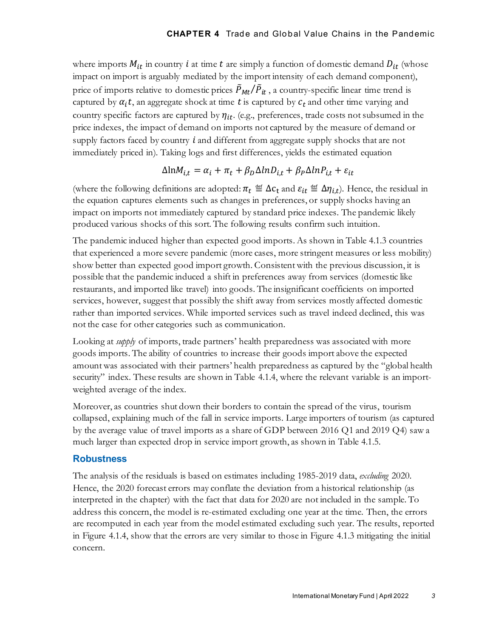where imports  $M_{it}$  in country  $i$  at time  $t$  are simply a function of domestic demand  $D_{it}$  (whose impact on import is arguably mediated by the import intensity of each demand component), price of imports relative to domestic prices  $\ddot{P}_{Mt}/\ddot{P}_{it}$ , a country-specific linear time trend is captured by  $\alpha_i t$ , an aggregate shock at time t is captured by  $c_t$  and other time varying and country specific factors are captured by  $\eta_{it}$ . (e.g., preferences, trade costs not subsumed in the price indexes, the impact of demand on imports not captured by the measure of demand or supply factors faced by country  $\hat{i}$  and different from aggregate supply shocks that are not immediately priced in). Taking logs and first differences, yields the estimated equation

$$
\Delta \ln M_{i,t} = \alpha_i + \pi_t + \beta_D \Delta \ln D_{i,t} + \beta_P \Delta \ln P_{i,t} + \varepsilon_{it}
$$

(where the following definitions are adopted:  $\pi_t \stackrel{\text{def}}{=} \Delta c_t$  and  $\varepsilon_{it} \stackrel{\text{def}}{=} \Delta \eta_{i,t}$ ). Hence, the residual in the equation captures elements such as changes in preferences, or supply shocks having an impact on imports not immediately captured by standard price indexes. The pandemic likely produced various shocks of this sort. The following results confirm such intuition.

The pandemic induced higher than expected good imports. As shown in Table 4.1.3 countries that experienced a more severe pandemic (more cases, more stringent measures or less mobility) show better than expected good import growth. Consistent with the previous discussion, it is possible that the pandemic induced a shift in preferences away from services (domestic like restaurants, and imported like travel) into goods. The insignificant coefficients on imported services, however, suggest that possibly the shift away from services mostly affected domestic rather than imported services. While imported services such as travel indeed declined, this was not the case for other categories such as communication.

Looking at *supply* of imports, trade partners' health preparedness was associated with more goods imports. The ability of countries to increase their goods import above the expected amount was associated with their partners' health preparedness as captured by the "global health security" index. These results are shown in Table 4.1.4, where the relevant variable is an importweighted average of the index.

Moreover, as countries shut down their borders to contain the spread of the virus, tourism collapsed, explaining much of the fall in service imports. Large importers of tourism (as captured by the average value of travel imports as a share of GDP between 2016 Q1 and 2019 Q4) saw a much larger than expected drop in service import growth, as shown in Table 4.1.5.

## **Robustness**

The analysis of the residuals is based on estimates including 1985-2019 data, *excluding* 2020. Hence, the 2020 forecast errors may conflate the deviation from a historical relationship (as interpreted in the chapter) with the fact that data for 2020 are not included in the sample. To address this concern, the model is re-estimated excluding one year at the time. Then, the errors are recomputed in each year from the model estimated excluding such year. The results, reported in Figure 4.1.4, show that the errors are very similar to those in Figure 4.1.3 mitigating the initial concern.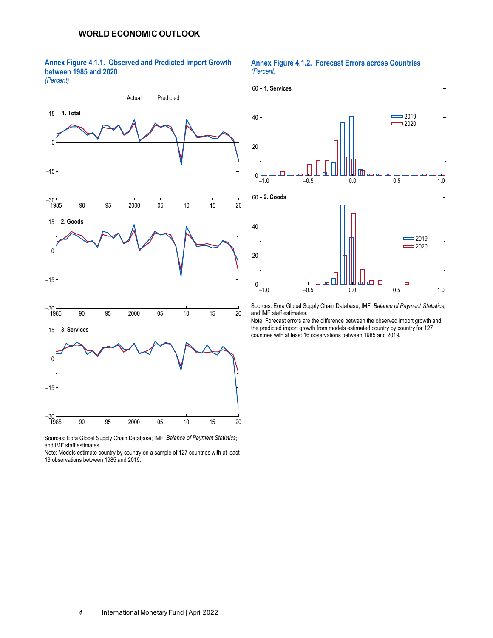**Annex Figure 4.1.1. Observed and Predicted Import Growth between 1985 and 2020**

#### *(Percent)*



Sources: Eora Global Supply Chain Database; IMF, *Balance of Payment Statistics*; and IMF staff estimates.

Note: Models estimate country by country on a sample of 127 countries with at least 16 observations between 1985 and 2019.

#### **Annex Figure 4.1.2. Forecast Errors across Countries** *(Percent)*



Sources: Eora Global Supply Chain Database; IMF, *Balance of Payment Statistics*; and IMF staff estimates.

Note: Forecast errors are the difference between the observed import growth and the predicted import growth from models estimated country by country for 127 countries with at least 16 observations between 1985 and 2019.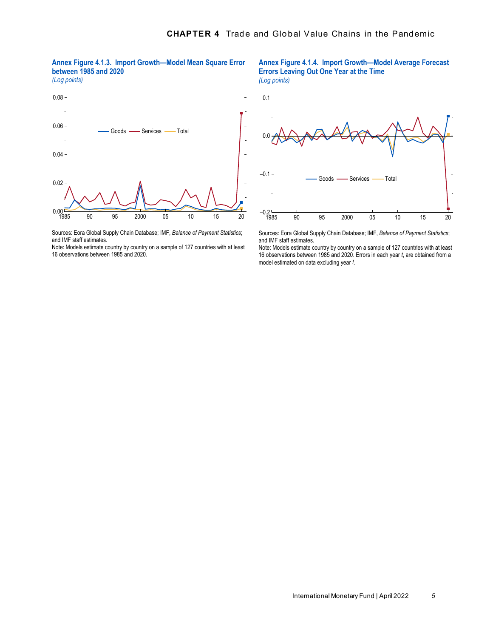

*(Log points)*



 $0.1 -$ *(Log points)*

**Errors Leaving Out One Year at the Time**



**Annex Figure 4.1.4. Import Growth—Model Average Forecast** 

Sources: Eora Global Supply Chain Database; IMF, *Balance of Payment Statistics*; and IMF staff estimates.

Note: Models estimate country by country on a sample of 127 countries with at least 16 observations between 1985 and 2020.

Sources: Eora Global Supply Chain Database; IMF, *Balance of Payment Statistics*; and IMF staff estimates.

Note: Models estimate country by country on a sample of 127 countries with at least 16 observations between 1985 and 2020. Errors in each year *t*, are obtained from a model estimated on data excluding year *t*.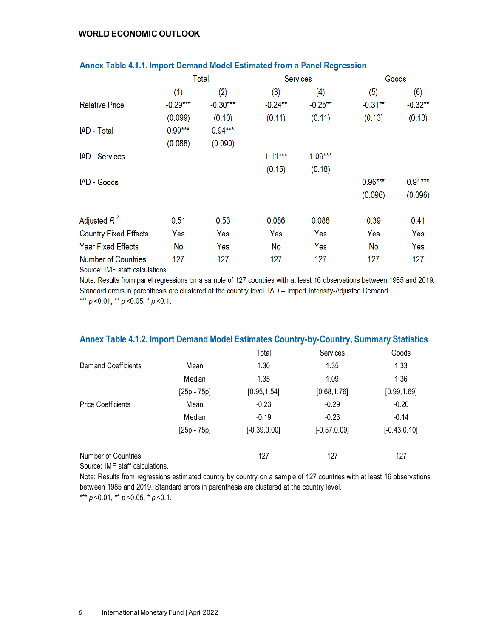|                              |            | Total      |            | <b>Services</b> |            | Goods     |
|------------------------------|------------|------------|------------|-----------------|------------|-----------|
|                              | (1)        | (2)        | (3)        | (4)             | (5)        | (6)       |
| <b>Relative Price</b>        | $-0.29***$ | $-0.30***$ | $-0.24***$ | $-0.25**$       | $-0.31***$ | $-0.32**$ |
|                              | (0.099)    | (0.10)     | (0.11)     | (0.11)          | (0.13)     | (0.13)    |
| IAD - Total                  | $0.99***$  | $0.94***$  |            |                 |            |           |
|                              | (0.088)    | (0.090)    |            |                 |            |           |
| <b>IAD</b> - Services        |            |            | $1.11***$  | $1.09***$       |            |           |
|                              |            |            | (0.15)     | (0.16)          |            |           |
| IAD - Goods                  |            |            |            |                 | $0.96***$  | $0.91***$ |
|                              |            |            |            |                 | (0.096)    | (0.096)   |
| Adjusted $R^2$               | 0.51       | 0.53       | 0.086      | 0.088           | 0.39       | 0.41      |
| <b>Country Fixed Effects</b> | Yes        | Yes        | Yes        | Yes             | Yes        | Yes       |
| <b>Year Fixed Effects</b>    | No         | Yes        | No         | Yes             | No         | Yes       |
| <b>Number of Countries</b>   | 127        | 127        | 127        | 127             | 127        | 127       |

## Annex Table 4.1.1, Import Demand Model Estimated from a Panel Regression

Source: IMF staff calculations.

Note: Results from panel regressions on a sample of 127 countries with at least 16 observations between 1985 and 2019. Standard errors in parenthesis are clustered at the country level. IAD = Import Intensity-Adjusted Demand. \*\*\*  $p$  < 0.01, \*\*  $p$  < 0.05, \*  $p$  < 0.1.

# Total Services Goods Demand Coefficients Mean 1.30 1.35 1.33 Median 1.35 1.09 1.36 [25p - 75p] [0.95,1.54] [0.68,1.76] [0.99,1.69] Price Coefficients **Mean** -0.23 -0.29 -0.20 -0.20 Median -0.19 -0.23 -0.14 [25p - 75p] [-0.39,0.00] [-0.57,0.09] [-0.43,0.10] Number of Countries 127 127 127 127 127 **Annex Table 4.1.2. Import Demand Model Estimates Country-by-Country, Summary Statistics**

Source: IMF staff calculations.

Note: Results from regressions estimated country by country on a sample of 127 countries with at least 16 observations between 1985 and 2019. Standard errors in parenthesis are clustered at the country level.

\*\*\*  $p$  < 0.01, \*\*  $p$  < 0.05, \*  $p$  < 0.1.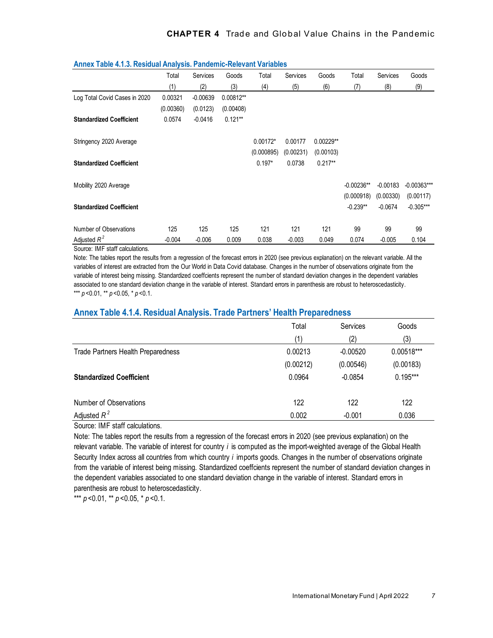|                                 | Total     | Services   | Goods     | Total      | Services  | Goods       | Total        | Services   | Goods         |
|---------------------------------|-----------|------------|-----------|------------|-----------|-------------|--------------|------------|---------------|
|                                 | (1)       | (2)        | (3)       | (4)        | (5)       | (6)         | (7)          | (8)        | (9)           |
| Log Total Covid Cases in 2020   | 0.00321   | $-0.00639$ | 0.00812** |            |           |             |              |            |               |
|                                 | (0.00360) | (0.0123)   | (0.00408) |            |           |             |              |            |               |
| <b>Standardized Coefficient</b> | 0.0574    | $-0.0416$  | $0.121**$ |            |           |             |              |            |               |
| Stringency 2020 Average         |           |            |           | $0.00172*$ | 0.00177   | $0.00229**$ |              |            |               |
|                                 |           |            |           | (0.000895) | (0.00231) | (0.00103)   |              |            |               |
| <b>Standardized Coefficient</b> |           |            |           | $0.197*$   | 0.0738    | $0.217**$   |              |            |               |
| Mobility 2020 Average           |           |            |           |            |           |             | $-0.00236**$ | $-0.00183$ | $-0.00363***$ |
|                                 |           |            |           |            |           |             | (0.000918)   | (0.00330)  | (0.00117)     |
| <b>Standardized Coefficient</b> |           |            |           |            |           |             | $-0.239**$   | $-0.0674$  | $-0.305***$   |
| Number of Observations          | 125       | 125        | 125       | 121        | 121       | 121         | 99           | 99         | 99            |
| Adjusted $R^2$                  | $-0.004$  | $-0.006$   | 0.009     | 0.038      | $-0.003$  | 0.049       | 0.074        | $-0.005$   | 0.104         |

#### **Annex Table 4.1.3. Residual Analysis. Pandemic-Relevant Variables**

Source: IMF staff calculations.

Note: The tables report the results from a regression of the forecast errors in 2020 (see previous explanation) on the relevant variable. All the variables of interest are extracted from the Our World in Data Covid database. Changes in the number of observations originate from the variable of interest being missing. Standardized coeffcients represent the number of standard deviation changes in the dependent variables associated to one standard deviation change in the variable of interest. Standard errors in parenthesis are robust to heteroscedasticity. \*\*\* *p* <0.01, \*\* *p* <0.05, \* *p* <0.1.

### **Annex Table 4.1.4. Residual Analysis. Trade Partners' Health Preparedness**

|                                           | Total     | Services   | Goods        |
|-------------------------------------------|-----------|------------|--------------|
|                                           | (1)       | (2)        | (3)          |
| <b>Trade Partners Health Preparedness</b> | 0.00213   | $-0.00520$ | $0.00518***$ |
|                                           | (0.00212) | (0.00546)  | (0.00183)    |
| <b>Standardized Coefficient</b>           | 0.0964    | $-0.0854$  | $0.195***$   |
| Number of Observations                    | 122       | 122        | 122          |
| Adjusted $R^2$                            | 0.002     | $-0.001$   | 0.036        |

Source: IMF staff calculations.

Note: The tables report the results from a regression of the forecast errors in 2020 (see previous explanation) on the relevant variable. The variable of interest for country *i* is computed as the import-weighted average of the Global Health Security Index across all countries from which country *i* imports goods. Changes in the number of observations originate from the variable of interest being missing. Standardized coeffcients represent the number of standard deviation changes in the dependent variables associated to one standard deviation change in the variable of interest. Standard errors in parenthesis are robust to heteroscedasticity.

\*\*\*  $p$  < 0.01, \*\*  $p$  < 0.05, \*  $p$  < 0.1.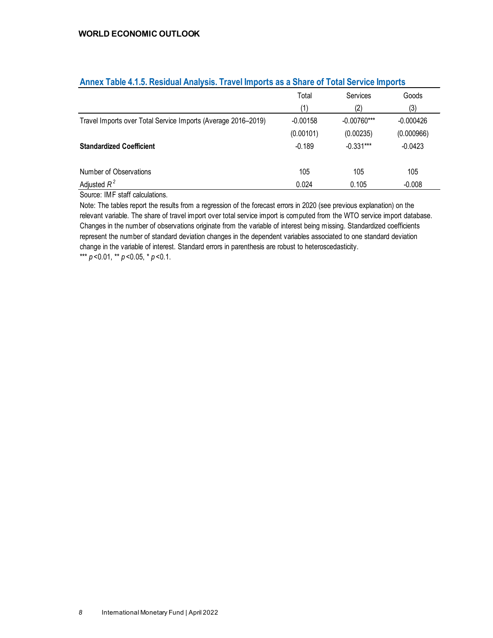|                                                               | Total      | Services      | Goods       |
|---------------------------------------------------------------|------------|---------------|-------------|
|                                                               | (1)        | (2)           | (3)         |
| Travel Imports over Total Service Imports (Average 2016-2019) | $-0.00158$ | $-0.00760***$ | $-0.000426$ |
|                                                               | (0.00101)  | (0.00235)     | (0.000966)  |
| <b>Standardized Coefficient</b>                               | $-0.189$   | $-0.331***$   | $-0.0423$   |
| Number of Observations                                        | 105        | 105           | 105         |
| Adjusted $R^2$                                                | 0.024      | 0.105         | $-0.008$    |

## **Annex Table 4.1.5. Residual Analysis. Travel Imports as a Share of Total Service Imports**

Source: IMF staff calculations.

Note: The tables report the results from a regression of the forecast errors in 2020 (see previous explanation) on the relevant variable. The share of travel import over total service import is computed from the WTO service import database. Changes in the number of observations originate from the variable of interest being missing. Standardized coefficients represent the number of standard deviation changes in the dependent variables associated to one standard deviation change in the variable of interest. Standard errors in parenthesis are robust to heteroscedasticity. \*\*\* *p* <0.01, \*\* *p* <0.05, \* *p* <0.1.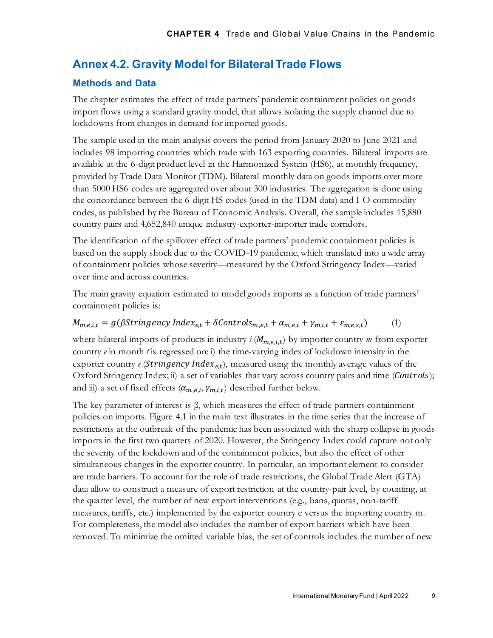# **Annex 4.2. Gravity Model for Bilateral Trade Flows**

## **Methods and Data**

The chapter estimates the effect of trade partners' pandemic containment policies on goods import flows using a standard gravity model, that allows isolating the supply channel due to lockdowns from changes in demand for imported goods.

The sample used in the main analysis covers the period from January 2020 to June 2021 and includes 98 importing countries which trade with 163 exporting countries. Bilateral imports are available at the 6-digit product level in the Harmonized System (HS6), at monthly frequency, provided by Trade Data Monitor (TDM). Bilateral monthly data on goods imports over more than 5000 HS6 codes are aggregated over about 300 industries. The aggregation is done using the concordance between the 6-digit HS codes (used in the TDM data) and I-O commodity codes, as published by the Bureau of Economic Analysis. Overall, the sample includes 15,880 country pairs and 4,652,840 unique industry-exporter-importer trade corridors.

The identification of the spillover effect of trade partners' pandemic containment policies is based on the supply shock due to the COVID-19 pandemic, which translated into a wide array of containment policies whose severity—measured by the Oxford Stringency Index—varied over time and across countries.

The main gravity equation estimated to model goods imports as a function of trade partners' containment policies is:

### $M_{m,e,i,t} = g(\beta$ Stringency Index<sub>e,t</sub> +  $\delta$ Controls<sub>m,e,t</sub> +  $\alpha_{m,e,i}$  +  $\gamma_{m,i,t}$  +  $\varepsilon_{m,e,s,t}$ ) (1)

where bilateral imports of products in industry  $i$  ( $M_{m,e,i,t}$ ) by importer country  $m$  from exporter country *e* in month *t* is regressed on: i) the time-varying index of lockdown intensity in the exporter country *e* (*Stringency Index<sub>et</sub>*), measured using the monthly average values of the Oxford Stringency Index; ii) a set of variables that vary across country pairs and time (Controls); and iii) a set of fixed effects  $(\alpha_{m,e,i}, \gamma_{m,i,t})$  described further below.

The key parameter of interest is β, which measures the effect of trade partners containment policies on imports. Figure 4.1 in the main text illustrates in the time series that the increase of restrictions at the outbreak of the pandemic has been associated with the sharp collapse in goods imports in the first two quarters of 2020. However, the Stringency Index could capture not only the severity of the lockdown and of the containment policies, but also the effect of other simultaneous changes in the exporter country. In particular, an important element to consider are trade barriers. To account for the role of trade restrictions, the Global Trade Alert (GTA) data allow to construct a measure of export restriction at the country-pair level, by counting, at the quarter level, the number of new export interventions (e.g., bans, quotas, non-tariff measures, tariffs, etc.) implemented by the exporter country e versus the importing country m. For completeness, the model also includes the number of export barriers which have been removed. To minimize the omitted variable bias, the set of controls includes the number of new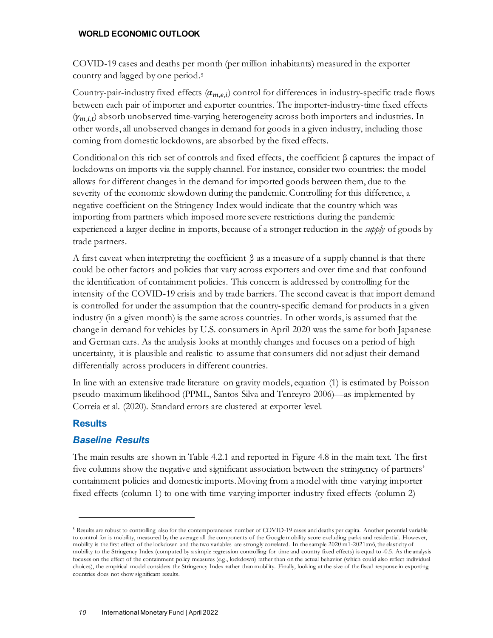COVID-19 cases and deaths per month (per million inhabitants) measured in the exporter country and lagged by one period.[5](#page-9-0) 

Country-pair-industry fixed effects  $(\alpha_{m,e,i})$  control for differences in industry-specific trade flows between each pair of importer and exporter countries. The importer-industry-time fixed effects  $(y_{m,i,t})$  absorb unobserved time-varying heterogeneity across both importers and industries. In other words, all unobserved changes in demand for goods in a given industry, including those coming from domestic lockdowns, are absorbed by the fixed effects.

Conditional on this rich set of controls and fixed effects, the coefficient  $\beta$  captures the impact of lockdowns on imports via the supply channel. For instance, consider two countries: the model allows for different changes in the demand for imported goods between them, due to the severity of the economic slowdown during the pandemic. Controlling for this difference, a negative coefficient on the Stringency Index would indicate that the country which was importing from partners which imposed more severe restrictions during the pandemic experienced a larger decline in imports, because of a stronger reduction in the *supply* of goods by trade partners.

A first caveat when interpreting the coefficient  $\beta$  as a measure of a supply channel is that there could be other factors and policies that vary across exporters and over time and that confound the identification of containment policies. This concern is addressed by controlling for the intensity of the COVID-19 crisis and by trade barriers. The second caveat is that import demand is controlled for under the assumption that the country-specific demand for products in a given industry (in a given month) is the same across countries. In other words, is assumed that the change in demand for vehicles by U.S. consumers in April 2020 was the same for both Japanese and German cars. As the analysis looks at monthly changes and focuses on a period of high uncertainty, it is plausible and realistic to assume that consumers did not adjust their demand differentially across producers in different countries.

In line with an extensive trade literature on gravity models, equation (1) is estimated by Poisson pseudo-maximum likelihood (PPML, Santos Silva and Tenreyro 2006)—as implemented by Correia et al. (2020). Standard errors are clustered at exporter level.

# **Results**

# *Baseline Results*

The main results are shown in Table 4.2.1 and reported in Figure 4.8 in the main text. The first five columns show the negative and significant association between the stringency of partners' containment policies and domestic imports.Moving from a model with time varying importer fixed effects (column 1) to one with time varying importer-industry fixed effects (column 2)

<span id="page-9-0"></span><sup>5</sup> Results are robust to controlling also for the contemporaneous number of COVID-19 cases and deaths per capita. Another potential variable to control for is mobility, measured by the average all the components of the Google mobility score excluding parks and residential. However, mobility is the first effect of the lockdown and the two variables are strongly correlated. In the sample 2020:m1-2021:m6, the elasticity of mobility to the Stringency Index (computed by a simple regression controlling for time and country fixed effects) is equal to -0.5. As the analysis focuses on the effect of the containment policy measures (e.g., lockdown) rather than on the actual behavior (which could also reflect individual choices), the empirical model considers the Stringency Index rather than mobility. Finally, looking at the size of the fiscal response in exporting countries does not show significant results.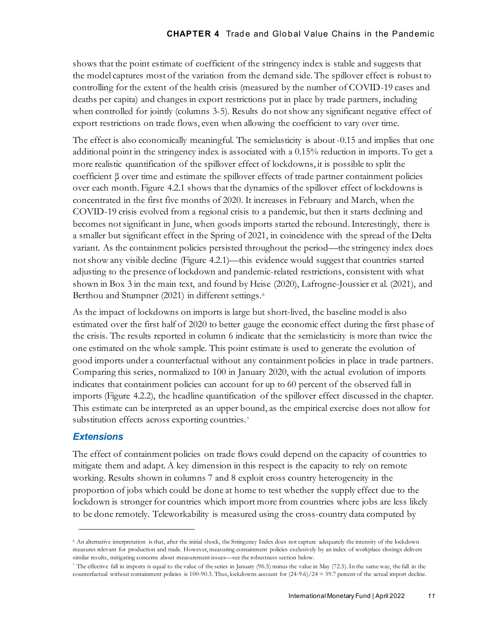shows that the point estimate of coefficient of the stringency index is stable and suggests that the model captures most of the variation from the demand side. The spillover effect is robust to controlling for the extent of the health crisis (measured by the number of COVID-19 cases and deaths per capita) and changes in export restrictions put in place by trade partners, including when controlled for jointly (columns 3-5). Results do not show any significant negative effect of export restrictions on trade flows, even when allowing the coefficient to vary over time.

The effect is also economically meaningful. The semielasticity is about -0.15 and implies that one additional point in the stringency index is associated with a 0.15% reduction in imports. To get a more realistic quantification of the spillover effect of lockdowns, it is possible to split the coefficient β over time and estimate the spillover effects of trade partner containment policies over each month. Figure 4.2.1 shows that the dynamics of the spillover effect of lockdowns is concentrated in the first five months of 2020. It increases in February and March, when the COVID-19 crisis evolved from a regional crisis to a pandemic, but then it starts declining and becomes not significant in June, when goods imports started the rebound. Interestingly, there is a smaller but significant effect in the Spring of 2021, in coincidence with the spread of the Delta variant. As the containment policies persisted throughout the period—the stringency index does not show any visible decline (Figure 4.2.1)—this evidence would suggest that countries started adjusting to the presence of lockdown and pandemic-related restrictions, consistent with what shown in Box 3 in the main text, and found by Heise (2020), Lafrogne-Joussier et al. (2021), and Berthou and Stumpner (2021) in different settings.<sup>[6](#page-10-0)</sup>

As the impact of lockdowns on imports is large but short-lived, the baseline model is also estimated over the first half of 2020 to better gauge the economic effect during the first phase of the crisis. The results reported in column 6 indicate that the semielasticity is more than twice the one estimated on the whole sample. This point estimate is used to generate the evolution of good imports under a counterfactual without any containment policies in place in trade partners. Comparing this series, normalized to 100 in January 2020, with the actual evolution of imports indicates that containment policies can account for up to 60 percent of the observed fall in imports (Figure 4.2.2), the headline quantification of the spillover effect discussed in the chapter. This estimate can be interpreted as an upper bound, as the empirical exercise does not allow for substitution effects across exporting countries.<sup>[7](#page-10-1)</sup>

# *Extensions*

The effect of containment policies on trade flows could depend on the capacity of countries to mitigate them and adapt. A key dimension in this respect is the capacity to rely on remote working. Results shown in columns 7 and 8 exploit cross country heterogeneity in the proportion of jobs which could be done at home to test whether the supply effect due to the lockdown is stronger for countries which import more from countries where jobs are less likely to be done remotely. Teleworkability is measured using the cross-country data computed by

<span id="page-10-0"></span><sup>6</sup> An alternative interpretation is that, after the initial shock, the Stringency Index does not capture adequately the intensity of the lockdown measures relevant for production and trade. However, measuring containment policies exclusively by an index of workplace closings delivers similar results, mitigating concerns about measurement issues—see the robustness section below.

<span id="page-10-1"></span><sup>&</sup>lt;sup>7</sup> The effective fall in imports is equal to the value of the series in January (96.5) minus the value in May (72.5). In the same way, the fall in the counterfactual without containment policies is 100-90.3. Thus, lockdowns account for (24-9.6)/24 = 59.7 percent of the actual import decline.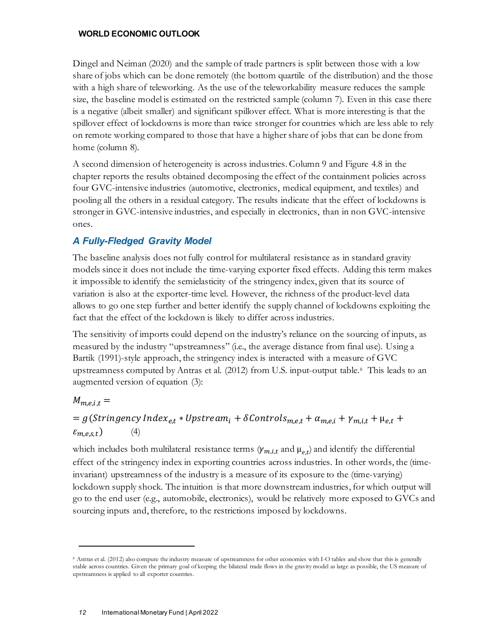Dingel and Neiman (2020) and the sample of trade partners is split between those with a low share of jobs which can be done remotely (the bottom quartile of the distribution) and the those with a high share of teleworking. As the use of the teleworkability measure reduces the sample size, the baseline model is estimated on the restricted sample (column 7). Even in this case there is a negative (albeit smaller) and significant spillover effect. What is more interesting is that the spillover effect of lockdowns is more than twice stronger for countries which are less able to rely on remote working compared to those that have a higher share of jobs that can be done from home (column 8).

A second dimension of heterogeneity is across industries. Column 9 and Figure 4.8 in the chapter reports the results obtained decomposing the effect of the containment policies across four GVC-intensive industries (automotive, electronics, medical equipment, and textiles) and pooling all the others in a residual category. The results indicate that the effect of lockdowns is stronger in GVC-intensive industries, and especially in electronics, than in non GVC-intensive ones.

# *A Fully-Fledged Gravity Model*

The baseline analysis does not fully control for multilateral resistance as in standard gravity models since it does not include the time-varying exporter fixed effects. Adding this term makes it impossible to identify the semielasticity of the stringency index, given that its source of variation is also at the exporter-time level. However, the richness of the product-level data allows to go one step further and better identify the supply channel of lockdowns exploiting the fact that the effect of the lockdown is likely to differ across industries.

The sensitivity of imports could depend on the industry's reliance on the sourcing of inputs, as measured by the industry "upstreamness" (i.e., the average distance from final use). Using a Bartik (1991)-style approach, the stringency index is interacted with a measure of GVC upstreamness computed by Antras et al. (2012) from U.S. input-output table.[8](#page-11-0) This leads to an augmented version of equation (3):

# $M_{m.e.i.t}$  =

 $= g(Stringency Index_{e,t} * Upstream_i + \delta Contents_{m,e,t} + \alpha_{m,e,i} + \gamma_{m,i,t} + \mu_{e,t} +$  $\varepsilon_{m.e.s.t}$  (4)

which includes both multilateral resistance terms  $(\gamma_{m,i,t}$  and  $\mu_{e,t})$  and identify the differential effect of the stringency index in exporting countries across industries. In other words, the (timeinvariant) upstreamness of the industry is a measure of its exposure to the (time-varying) lockdown supply shock. The intuition is that more downstream industries, for which output will go to the end user (e.g., automobile, electronics), would be relatively more exposed to GVCs and sourcing inputs and, therefore, to the restrictions imposed by lockdowns.

<span id="page-11-0"></span><sup>8</sup> Antras et al. (2012) also compute the industry measure of upstreamness for other economies with I-O tables and show that this is generally stable across countries. Given the primary goal of keeping the bilateral trade flows in the gravity model as large as possible, the US measure of upstreamness is applied to all exporter countries.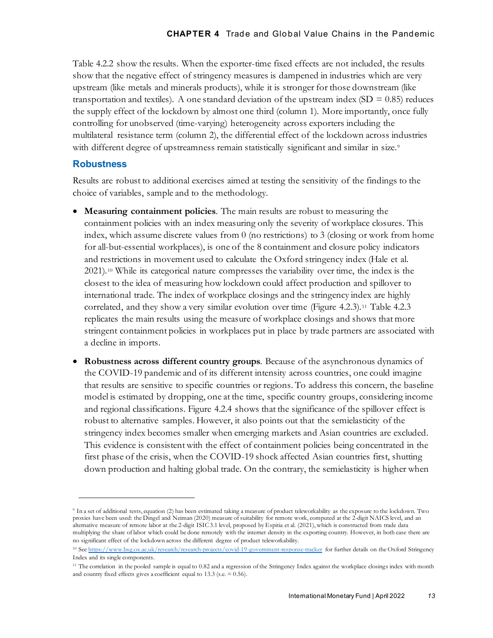Table 4.2.2 show the results. When the exporter-time fixed effects are not included, the results show that the negative effect of stringency measures is dampened in industries which are very upstream (like metals and minerals products), while it is stronger for those downstream (like transportation and textiles). A one standard deviation of the upstream index  $(SD = 0.85)$  reduces the supply effect of the lockdown by almost one third (column 1). More importantly, once fully controlling for unobserved (time-varying) heterogeneity across exporters including the multilateral resistance term (column 2), the differential effect of the lockdown across industries with different degree of upstreamness remain statistically significant and similar in size.<sup>[9](#page-12-0)</sup>

# **Robustness**

Results are robust to additional exercises aimed at testing the sensitivity of the findings to the choice of variables, sample and to the methodology.

- **Measuring containment policies**. The main results are robust to measuring the containment policies with an index measuring only the severity of workplace closures. This index, which assume discrete values from 0 (no restrictions) to 3 (closing or work from home for all-but-essential workplaces), is one of the 8 containment and closure policy indicators and restrictions in movement used to calculate the Oxford stringency index (Hale et al. 2021).[10](#page-12-1) While its categorical nature compresses the variability over time, the index is the closest to the idea of measuring how lockdown could affect production and spillover to international trade. The index of workplace closings and the stringency index are highly correlated, and they show a very similar evolution over time (Figure 4.2.3).[11](#page-12-2) Table 4.2.3 replicates the main results using the measure of workplace closings and shows that more stringent containment policies in workplaces put in place by trade partners are associated with a decline in imports.
- **Robustness across different country groups**. Because of the asynchronous dynamics of the COVID-19 pandemic and of its different intensity across countries, one could imagine that results are sensitive to specific countries or regions. To address this concern, the baseline model is estimated by dropping, one at the time, specific country groups, considering income and regional classifications. Figure 4.2.4 shows that the significance of the spillover effect is robust to alternative samples. However, it also points out that the semielasticity of the stringency index becomes smaller when emerging markets and Asian countries are excluded. This evidence is consistent with the effect of containment policies being concentrated in the first phase of the crisis, when the COVID-19 shock affected Asian countries first, shutting down production and halting global trade. On the contrary, the semielasticity is higher when

<span id="page-12-0"></span><sup>9</sup> In a set of additional tests, equation (2) has been estimated taking a measure of product teleworkability as the exposure to the lockdown. Two proxies have been used: the Dingel and Neiman (2020) measure of suitability for remote work, computed at the 2-digit NAICS level, and an alternative measure of remote labor at the 2-digit ISIC 3.1 level, proposed by Espitia et al. (2021), which is constructed from trade data multiplying the share of labor which could be done remotely with the internet density in the exporting country. However, in both case there are no significant effect of the lockdown across the different degree of product teleworkability.

<span id="page-12-1"></span><sup>&</sup>lt;sup>10</sup> Se[e https://www.bsg.ox.ac.uk/research/research-projects/covid-19-government-response-tracker](https://www.bsg.ox.ac.uk/research/research-projects/covid-19-government-response-tracker) for further details on the Oxford Stringency Index and its single components.

<span id="page-12-2"></span><sup>&</sup>lt;sup>11</sup> The correlation in the pooled sample is equal to 0.82 and a regression of the Stringency Index against the workplace closings index with month and country fixed effects gives a coefficient equal to 13.3 (s.e.  $= 0.56$ ).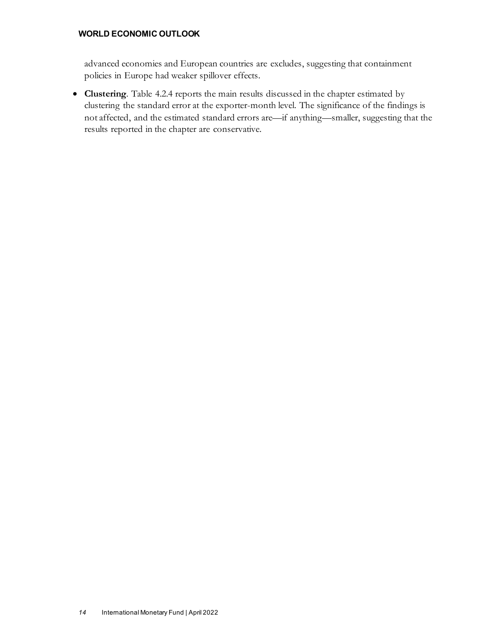advanced economies and European countries are excludes, suggesting that containment policies in Europe had weaker spillover effects.

• **Clustering**. Table 4.2.4 reports the main results discussed in the chapter estimated by clustering the standard error at the exporter-month level. The significance of the findings is not affected, and the estimated standard errors are—if anything—smaller, suggesting that the results reported in the chapter are conservative.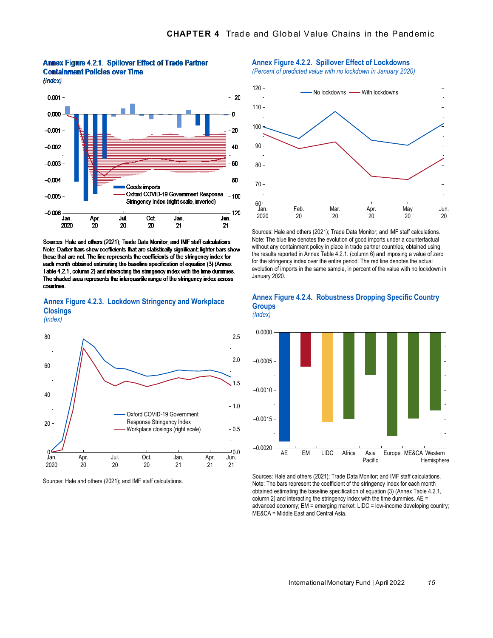

Annex Figure 4.2.1. Spillover Effect of Trade Partner **Containment Policies over Time**  $(Index)$ 

Sources: Hale and others (2021); Trade Data Monitor; and IMF staff calculations. Note: Darker bars show coefficients that are statistically significant, lighter bars show those that are not. The line represents the coefficients of the stringency index for each month obtained estimating the baseline specification of equation (3) (Annex Table 4.2.1, column 2) and interacting the stringency index with the time dummies. The shaded area represents the interquartile range of the stringency index across **countries** 

### **Annex Figure 4.2.3. Lockdown Stringency and Workplace Closings**

*(Index)*



Sources: Hale and others (2021); and IMF staff calculations.

#### **Annex Figure 4.2.2. Spillover Effect of Lockdowns** *(Percent of predicted value with no lockdown in January 2020)*





Sources: Hale and others (2021); Trade Data Monitor; and IMF staff calculations. Note: The blue line denotes the evolution of good imports under a counterfactual without any containment policy in place in trade partner countries, obtained using the results reported in Annex Table 4.2.1. (column 6) and imposing a value of zero for the stringency index over the entire period. The red line denotes the actual evolution of imports in the same sample, in percent of the value with no lockdown in January 2020.





Sources: Hale and others (2021); Trade Data Monitor; and IMF staff calculations. Note: The bars represent the coefficient of the stringency index for each month obtained estimating the baseline specification of equation (3) (Annex Table 4.2.1, column 2) and interacting the stringency index with the time dummies. AE = advanced economy; EM = emerging market; LIDC = low-income developing country; ME&CA = Middle East and Central Asia.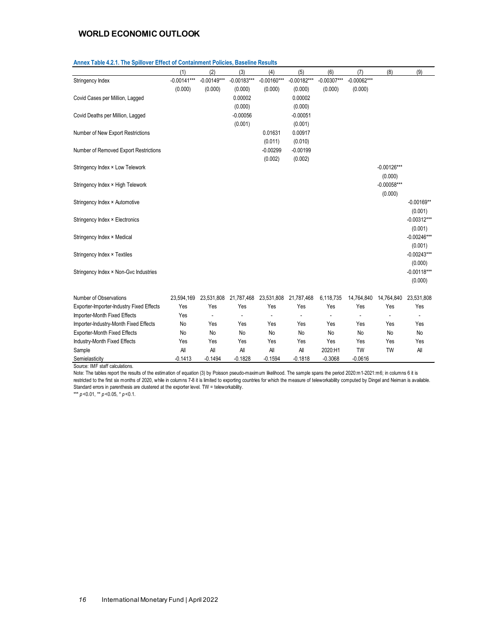|                                          | (1)           | (2)           | (3)           | (4)           | (5)           | (6)           | (7)           | (8)           | (9)           |
|------------------------------------------|---------------|---------------|---------------|---------------|---------------|---------------|---------------|---------------|---------------|
| Stringency Index                         | $-0.00141***$ | $-0.00149***$ | $-0.00183***$ | $-0.00160***$ | $-0.00182***$ | $-0.00307***$ | $-0.00062***$ |               |               |
|                                          | (0.000)       | (0.000)       | (0.000)       | (0.000)       | (0.000)       | (0.000)       | (0.000)       |               |               |
| Covid Cases per Million, Lagged          |               |               | 0.00002       |               | 0.00002       |               |               |               |               |
|                                          |               |               | (0.000)       |               | (0.000)       |               |               |               |               |
| Covid Deaths per Million, Lagged         |               |               | $-0.00056$    |               | $-0.00051$    |               |               |               |               |
|                                          |               |               | (0.001)       |               | (0.001)       |               |               |               |               |
| Number of New Export Restrictions        |               |               |               | 0.01631       | 0.00917       |               |               |               |               |
|                                          |               |               |               | (0.011)       | (0.010)       |               |               |               |               |
| Number of Removed Export Restrictions    |               |               |               | $-0.00299$    | $-0.00199$    |               |               |               |               |
|                                          |               |               |               | (0.002)       | (0.002)       |               |               |               |               |
| Stringency Index × Low Telework          |               |               |               |               |               |               |               | $-0.00126***$ |               |
|                                          |               |               |               |               |               |               |               | (0.000)       |               |
| Stringency Index × High Telework         |               |               |               |               |               |               |               | $-0.00058***$ |               |
|                                          |               |               |               |               |               |               |               | (0.000)       |               |
| Stringency Index × Automotive            |               |               |               |               |               |               |               |               | $-0.00169**$  |
|                                          |               |               |               |               |               |               |               |               | (0.001)       |
| Stringency Index × Electronics           |               |               |               |               |               |               |               |               | $-0.00312***$ |
|                                          |               |               |               |               |               |               |               |               | (0.001)       |
| Stringency Index × Medical               |               |               |               |               |               |               |               |               | $-0.00246***$ |
|                                          |               |               |               |               |               |               |               |               | (0.001)       |
| Stringency Index × Textiles              |               |               |               |               |               |               |               |               | $-0.00243***$ |
|                                          |               |               |               |               |               |               |               |               | (0.000)       |
| Stringency Index × Non-Gvc Industries    |               |               |               |               |               |               |               |               | $-0.00118***$ |
|                                          |               |               |               |               |               |               |               |               | (0.000)       |
| Number of Observations                   | 23,594,169    | 23,531,808    | 21,787,468    | 23,531,808    | 21,787,468    | 6,118,735     | 14,764,840    | 14,764,840    | 23,531,808    |
| Exporter-Importer-Industry Fixed Effects | Yes           | Yes           | Yes           | Yes           | Yes           | Yes           | Yes           | Yes           | Yes           |
| Importer-Month Fixed Effects             | Yes           |               |               |               |               |               |               |               |               |
| Importer-Industry-Month Fixed Effects    | No            | Yes           | Yes           | Yes           | Yes           | Yes           | Yes           | Yes           | Yes           |
| <b>Exporter-Month Fixed Effects</b>      | No            | No            | No            | No            | No            | No            | No            | No            | No            |
| Industry-Month Fixed Effects             | Yes           | Yes           | Yes           | Yes           | Yes           | Yes           | Yes           | Yes           | Yes           |
| Sample                                   | All           | All           | All           | All           | All           | 2020:H1       | <b>TW</b>     | <b>TW</b>     | All           |
| Semielasticity                           | $-0.1413$     | $-0.1494$     | $-0.1828$     | $-0.1594$     | $-0.1818$     | $-0.3068$     | $-0.0616$     |               |               |

#### **Annex Table 4.2.1. The Spillover Effect of Containment Policies, Baseline Results**

Source: IMF staff calculations.

Note: The tables report the results of the estimation of equation (3) by Poisson pseudo-maximum likelihood. The sample spans the period 2020:m1-2021:m6; in columns 6 it is restricted to the first six months of 2020, while in columns 7-8 it is limited to exporting countries for which the measure of teleworkability computed by Dingel and Neiman is available. Standard errors in parenthesis are clustered at the exporter level. TW = teleworkability.

\*\*\* *p* <0.01, \*\* *p* <0.05, \* *p* <0.1.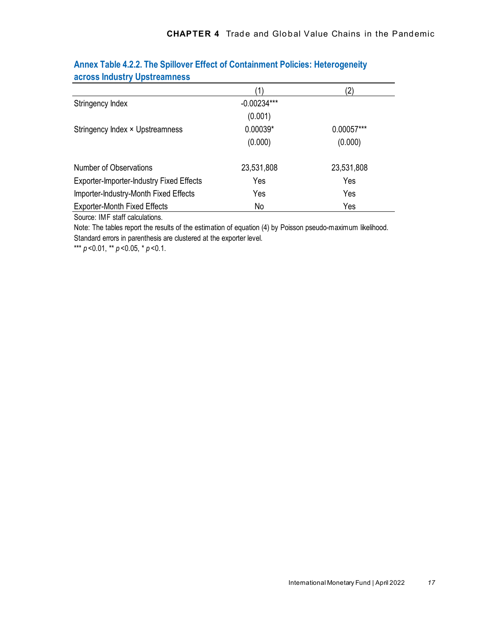|                                                 |               | $\left( 2\right)$ |
|-------------------------------------------------|---------------|-------------------|
| Stringency Index                                | $-0.00234***$ |                   |
|                                                 | (0.001)       |                   |
| Stringency Index × Upstreamness                 | $0.00039*$    | 0.00057***        |
|                                                 | (0.000)       | (0.000)           |
| Number of Observations                          | 23,531,808    | 23,531,808        |
| <b>Exporter-Importer-Industry Fixed Effects</b> | Yes           | Yes               |
| Importer-Industry-Month Fixed Effects           | Yes           | Yes               |
| <b>Exporter-Month Fixed Effects</b>             | No            | Yes               |

# **Annex Table 4.2.2. The Spillover Effect of Containment Policies: Heterogeneity across Industry Upstreamness**

Source: IMF staff calculations.

Note: The tables report the results of the estimation of equation (4) by Poisson pseudo-maximum likelihood. Standard errors in parenthesis are clustered at the exporter level.

\*\*\*  $p$  < 0.01, \*\*  $p$  < 0.05, \*  $p$  < 0.1.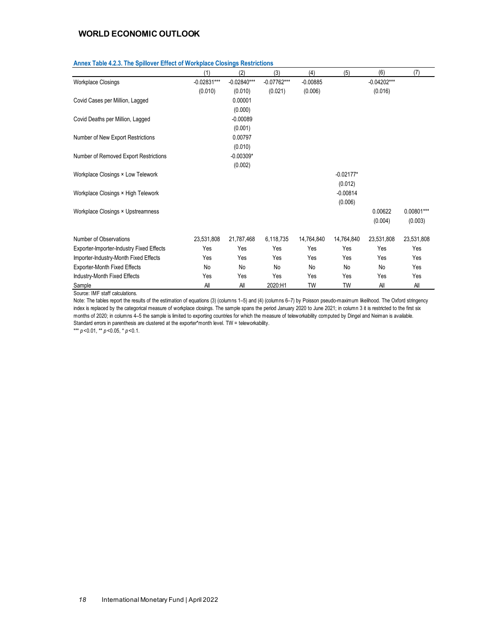|                                          | (1)           | (2)           | (3)           | (4)        | (5)         | (6)           | (7)        |
|------------------------------------------|---------------|---------------|---------------|------------|-------------|---------------|------------|
| <b>Workplace Closings</b>                | $-0.02831***$ | $-0.02840***$ | $-0.07762***$ | $-0.00885$ |             | $-0.04202***$ |            |
|                                          | (0.010)       | (0.010)       | (0.021)       | (0.006)    |             | (0.016)       |            |
| Covid Cases per Million, Lagged          |               | 0.00001       |               |            |             |               |            |
|                                          |               | (0.000)       |               |            |             |               |            |
| Covid Deaths per Million, Lagged         |               | $-0.00089$    |               |            |             |               |            |
|                                          |               | (0.001)       |               |            |             |               |            |
| Number of New Export Restrictions        |               | 0.00797       |               |            |             |               |            |
|                                          |               | (0.010)       |               |            |             |               |            |
| Number of Removed Export Restrictions    |               | $-0.00309*$   |               |            |             |               |            |
|                                          |               | (0.002)       |               |            |             |               |            |
| Workplace Closings × Low Telework        |               |               |               |            | $-0.02177*$ |               |            |
|                                          |               |               |               |            | (0.012)     |               |            |
| Workplace Closings × High Telework       |               |               |               |            | $-0.00814$  |               |            |
|                                          |               |               |               |            | (0.006)     |               |            |
| Workplace Closings × Upstreamness        |               |               |               |            |             | 0.00622       | 0.00801*** |
|                                          |               |               |               |            |             | (0.004)       | (0.003)    |
| Number of Observations                   | 23,531,808    | 21,787,468    | 6,118,735     | 14,764,840 | 14,764,840  | 23,531,808    | 23,531,808 |
| Exporter-Importer-Industry Fixed Effects | Yes           | Yes           | Yes           | Yes        | Yes         | Yes           | Yes        |
| Importer-Industry-Month Fixed Effects    | Yes           | Yes           | Yes           | Yes        | Yes         | Yes           | Yes        |
| <b>Exporter-Month Fixed Effects</b>      | No            | No            | No            | No         | No          | No            | Yes        |
| Industry-Month Fixed Effects             | Yes           | Yes           | Yes           | Yes        | Yes         | Yes           | Yes        |
| Sample                                   | All           | All           | 2020:H1       | <b>TW</b>  | TW          | All           | All        |

#### **Annex Table 4.2.3. The Spillover Effect of Workplace Closings Restrictions**

Source: IMF staff calculations.

Note: The tables report the results of the estimation of equations (3) (columns 1–5) and (4) (columns 6–7) by Poisson pseudo-maximum likelihood. The Oxford stringency index is replaced by the categorical measure of workplace closings. The sample spans the period January 2020 to June 2021; in column 3 it is restricted to the first six months of 2020; in columns 4–5 the sample is limited to exporting countries for which the measure of teleworkability computed by Dingel and Neiman is available. Standard errors in parenthesis are clustered at the exporter\*month level. TW = teleworkability.

\*\*\* *p* <0.01, \*\* *p* <0.05, \* *p* <0.1.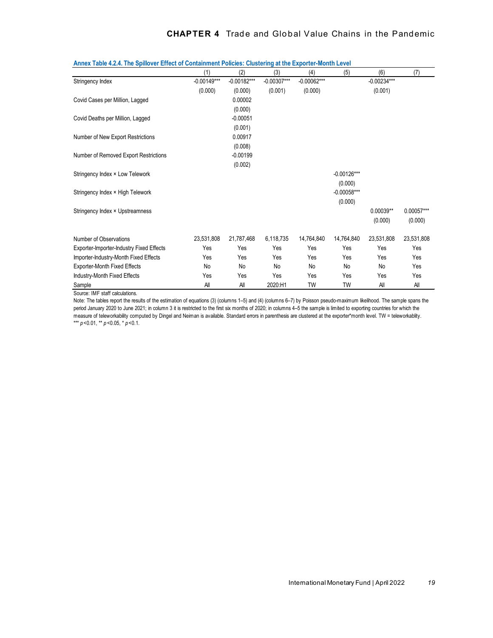|                                                 | (1)           | (2)           | (3)           | (4)           | (5)           | (6)           | (7)        |
|-------------------------------------------------|---------------|---------------|---------------|---------------|---------------|---------------|------------|
| Stringency Index                                | $-0.00149***$ | $-0.00182***$ | $-0.00307***$ | $-0.00062***$ |               | $-0.00234***$ |            |
|                                                 | (0.000)       | (0.000)       | (0.001)       | (0.000)       |               | (0.001)       |            |
| Covid Cases per Million, Lagged                 |               | 0.00002       |               |               |               |               |            |
|                                                 |               | (0.000)       |               |               |               |               |            |
| Covid Deaths per Million, Lagged                |               | $-0.00051$    |               |               |               |               |            |
|                                                 |               | (0.001)       |               |               |               |               |            |
| Number of New Export Restrictions               |               | 0.00917       |               |               |               |               |            |
|                                                 |               | (0.008)       |               |               |               |               |            |
| Number of Removed Export Restrictions           |               | $-0.00199$    |               |               |               |               |            |
|                                                 |               | (0.002)       |               |               |               |               |            |
| Stringency Index × Low Telework                 |               |               |               |               | $-0.00126***$ |               |            |
|                                                 |               |               |               |               | (0.000)       |               |            |
| Stringency Index × High Telework                |               |               |               |               | $-0.00058***$ |               |            |
|                                                 |               |               |               |               | (0.000)       |               |            |
| Stringency Index × Upstreamness                 |               |               |               |               |               | $0.00039**$   | 0.00057*** |
|                                                 |               |               |               |               |               | (0.000)       | (0.000)    |
|                                                 |               |               |               |               |               |               |            |
| Number of Observations                          | 23,531,808    | 21,787,468    | 6,118,735     | 14,764,840    | 14,764,840    | 23,531,808    | 23,531,808 |
| <b>Exporter-Importer-Industry Fixed Effects</b> | Yes           | Yes           | Yes           | Yes           | Yes           | Yes           | Yes        |
| Importer-Industry-Month Fixed Effects           | Yes           | Yes           | Yes           | Yes           | Yes           | Yes           | Yes        |
| <b>Exporter-Month Fixed Effects</b>             | No            | No            | No            | No            | No            | No            | Yes        |
| Industry-Month Fixed Effects                    | Yes           | Yes           | Yes           | Yes           | Yes           | Yes           | Yes        |
| Sample                                          | All           | All           | 2020:H1       | <b>TW</b>     | <b>TW</b>     | All           | All        |

Source: IMF staff calculations.

Note: The tables report the results of the estimation of equations (3) (columns 1–5) and (4) (columns 6–7) by Poisson pseudo-maximum likelihood. The sample spans the period January 2020 to June 2021; in column 3 it is restricted to the first six months of 2020; in columns 4-5 the sample is limited to exporting countries for which the measure of teleworkability computed by Dingel and Neiman is available. Standard errors in parenthesis are clustered at the exporter\*month level. TW = teleworkablity. \*\*\* *p* <0.01, \*\* *p* <0.05, \* *p* <0.1.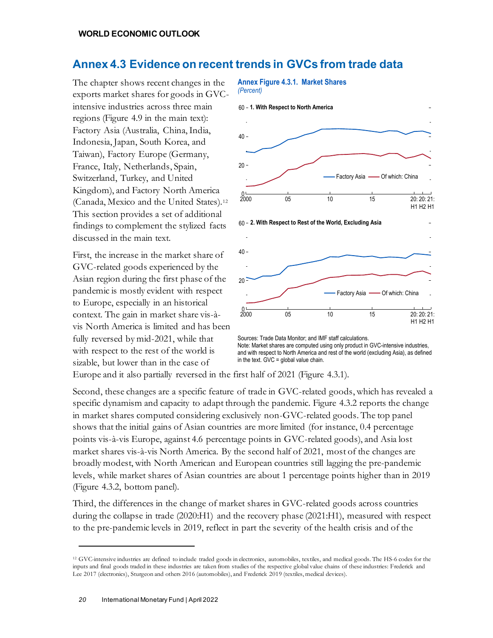# **Annex 4.3 Evidence on recent trends in GVCs from trade data**

The chapter shows recent changes in the exports market shares for goods in GVCintensive industries across three main regions (Figure 4.9 in the main text): Factory Asia (Australia, China, India, Indonesia, Japan, South Korea, and Taiwan), Factory Europe (Germany, France, Italy, Netherlands, Spain, Switzerland, Turkey, and United Kingdom), and Factory North America (Canada, Mexico and the United States).[12](#page-19-0) This section provides a set of additional findings to complement the stylized facts discussed in the main text.

First, the increase in the market share of GVC-related goods experienced by the Asian region during the first phase of the pandemic is mostly evident with respect to Europe, especially in an historical context. The gain in market share vis-àvis North America is limited and has been fully reversed by mid-2021, while that with respect to the rest of the world is sizable, but lower than in the case of

# $0 - 2000$  $20 40 -$ 60 **1. With Respect to North America** 2000 05 10 15 20: H1 H2 H1 20: 21: **Annex Figure 4.3.1. Market Shares** *(Percent)* Factory Asia - Of which: China  $0 - 2000$  $20 40 -$ 60 **2. With Respect to Rest of the World, Excluding Asia** 2000 05 10 15 20: H1 H2 H1 20: 21: Factory Asia - Of which: China

Sources: Trade Data Monitor; and IMF staff calculations. Note: Market shares are computed using only product in GVC-intensive industries, and with respect to North America and rest of the world (excluding Asia), as defined in the text. GVC = global value chain.

Europe and it also partially reversed in the first half of 2021 (Figure 4.3.1).

Second, these changes are a specific feature of trade in GVC-related goods, which has revealed a specific dynamism and capacity to adapt through the pandemic. Figure 4.3.2 reports the change in market shares computed considering exclusively non-GVC-related goods. The top panel shows that the initial gains of Asian countries are more limited (for instance, 0.4 percentage points vis-à-vis Europe, against 4.6 percentage points in GVC-related goods), and Asia lost market shares vis-à-vis North America. By the second half of 2021, most of the changes are broadly modest, with North American and European countries still lagging the pre-pandemic levels, while market shares of Asian countries are about 1 percentage points higher than in 2019 (Figure 4.3.2, bottom panel).

Third, the differences in the change of market shares in GVC-related goods across countries during the collapse in trade (2020:H1) and the recovery phase (2021:H1), measured with respect to the pre-pandemic levels in 2019, reflect in part the severity of the health crisis and of the

<span id="page-19-0"></span><sup>12</sup> GVC-intensive industries are defined to include traded goods in electronics, automobiles, textiles, and medical goods. The HS-6 codes for the inputs and final goods traded in these industries are taken from studies of the respective global value chains of these industries: Frederick and Lee 2017 (electronics), Sturgeon and others 2016 (automobiles), and Frederick 2019 (textiles, medical devices).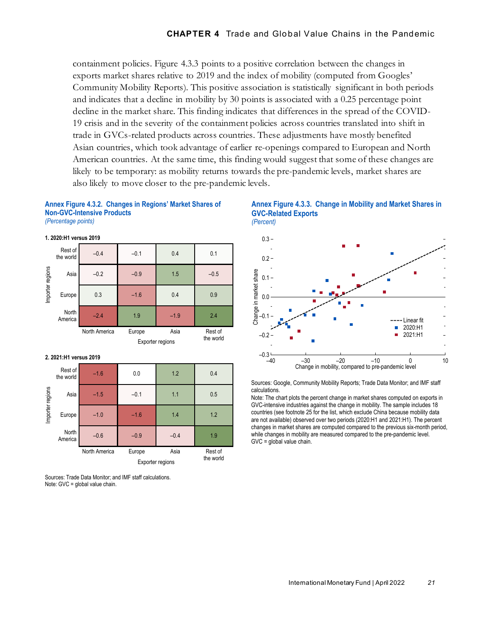containment policies. Figure 4.3.3 points to a positive correlation between the changes in exports market shares relative to 2019 and the index of mobility (computed from Googles' Community Mobility Reports). This positive association is statistically significant in both periods and indicates that a decline in mobility by 30 points is associated with a 0.25 percentage point decline in the market share. This finding indicates that differences in the spread of the COVID-19 crisis and in the severity of the containment policies across countries translated into shift in trade in GVCs-related products across countries. These adjustments have mostly benefited Asian countries, which took advantage of earlier re-openings compared to European and North American countries. At the same time, this finding would suggest that some of these changes are likely to be temporary: as mobility returns towards the pre-pandemic levels, market shares are also likely to move closer to the pre-pandemic levels.

**GVC-Related Exports**

*(Percent)*



#### **Annex Figure 4.3.2. Changes in Regions' Market Shares of Non-GVC-Intensive Products** *(Percentage points)*



**Annex Figure 4.3.3. Change in Mobility and Market Shares in** 

Sources: Google, Community Mobility Reports; Trade Data Monitor; and IMF staff calculations.

Note: The chart plots the percent change in market shares computed on exports in GVC-intensive industries against the change in mobility. The sample includes 18 countries (see footnote 25 for the list, which exclude China because mobility data are not available) observed over two periods (2020:H1 and 2021:H1). The percent changes in market shares are computed compared to the previous six-month period, while changes in mobility are measured compared to the pre-pandemic level. GVC = global value chain.

Sources: Trade Data Monitor; and IMF staff calculations. Note: GVC = global value chain.

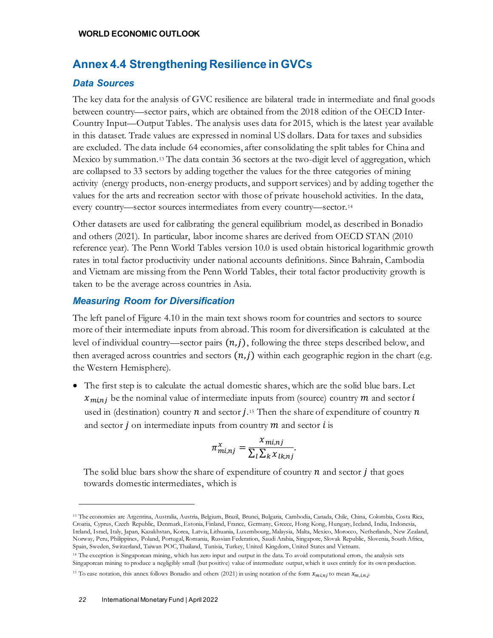# **Annex 4.4 Strengthening Resilience in GVCs**

## *Data Sources*

The key data for the analysis of GVC resilience are bilateral trade in intermediate and final goods between country—sector pairs, which are obtained from the 2018 edition of the OECD Inter-Country Input—Output Tables. The analysis uses data for 2015, which is the latest year available in this dataset. Trade values are expressed in nominal US dollars. Data for taxes and subsidies are excluded. The data include 64 economies, after consolidating the split tables for China and Mexico by summation.[13](#page-21-0) The data contain 36 sectors at the two-digit level of aggregation, which are collapsed to 33 sectors by adding together the values for the three categories of mining activity (energy products, non-energy products, and support services) and by adding together the values for the arts and recreation sector with those of private household activities. In the data, every country—sector sources intermediates from every country—sector.[14](#page-21-1)

Other datasets are used for calibrating the general equilibrium model, as described in Bonadio and others (2021). In particular, labor income shares are derived from OECD STAN (2010 reference year). The Penn World Tables version 10.0 is used obtain historical logarithmic growth rates in total factor productivity under national accounts definitions. Since Bahrain, Cambodia and Vietnam are missing from the Penn World Tables, their total factor productivity growth is taken to be the average across countries in Asia.

# *Measuring Room for Diversification*

The left panel of Figure 4.10 in the main text shows room for countries and sectors to source more of their intermediate inputs from abroad. This room for diversification is calculated at the level of individual country—sector pairs  $(n,j)$ , following the three steps described below, and then averaged across countries and sectors  $(n, j)$  within each geographic region in the chart (e.g. the Western Hemisphere).

• The first step is to calculate the actual domestic shares, which are the solid blue bars. Let  $x_{minj}$  be the nominal value of intermediate inputs from (source) country m and sector i used in (destination) country  $n$  and sector  $j$ .<sup>[15](#page-21-2)</sup> Then the share of expenditure of country  $n$ and sector  $j$  on intermediate inputs from country  $m$  and sector  $i$  is

$$
\pi_{mi,nj}^x = \frac{x_{mi,nj}}{\sum_l \sum_k x_{lk,nj}}.
$$

The solid blue bars show the share of expenditure of country  $n$  and sector  $j$  that goes towards domestic intermediates, which is

<span id="page-21-0"></span><sup>13</sup> The economies are Argentina, Australia, Austria, Belgium, Brazil, Brunei, Bulgaria, Cambodia, Canada, Chile, China, Colombia, Costa Rica, Croatia, Cyprus, Czech Republic, Denmark, Estonia, Finland, France, Germany, Greece, Hong Kong, Hungary, Iceland, India, Indonesia, Ireland, Israel, Italy, Japan, Kazakhstan, Korea, Latvia, Lithuania, Luxembourg, Malaysia, Malta, Mexico, Morocco, Netherlands, New Zealand, Norway, Peru, Philippines, Poland, Portugal, Romania, Russian Federation, Saudi Arabia, Singapore, Slovak Republic, Slovenia, South Africa, Spain, Sweden, Switzerland, Taiwan POC, Thailand, Tunisia, Turkey, United Kingdom, United States and Vietnam.

<span id="page-21-1"></span><sup>&</sup>lt;sup>14</sup> The exception is Singaporean mining, which has zero input and output in the data. To avoid computational errors, the analysis sets Singaporean mining to produce a negligibly small (but positive) value of intermediate output, which it uses entirely for its own production.

<span id="page-21-2"></span><sup>&</sup>lt;sup>15</sup> To ease notation, this annex follows Bonadio and others (2021) in using notation of the form  $x_{m,inj}$  to mean  $x_{m,inj}$ .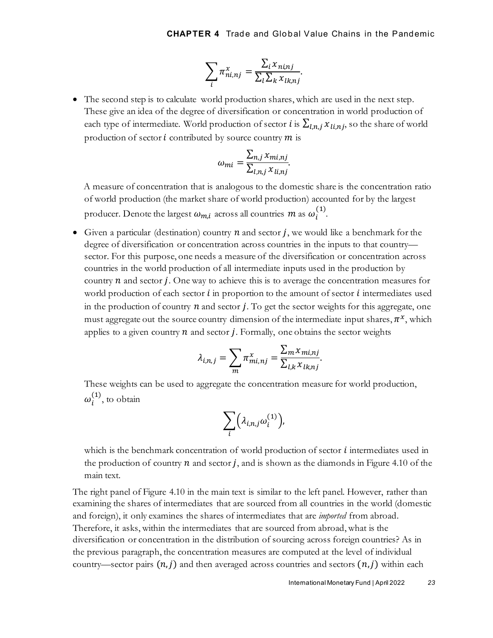$$
\sum_{i} \pi_{ni,nj}^{x} = \frac{\sum_{i} x_{ni,nj}}{\sum_{l} \sum_{k} x_{lk,nj}}.
$$

• The second step is to calculate world production shares, which are used in the next step. These give an idea of the degree of diversification or concentration in world production of each type of intermediate. World production of sector *i* is  $\sum_{l,n,i} x_{l,n,i}$ , so the share of world production of sector  $i$  contributed by source country  $m$  is

$$
\omega_{mi} = \frac{\sum_{n,j} x_{mi,nj}}{\sum_{l,n,j} x_{li,nj}}.
$$

A measure of concentration that is analogous to the domestic share is the concentration ratio of world production (the market share of world production) accounted for by the largest producer. Denote the largest  $\omega_{m,i}$  across all countries  $m$  as  $\omega_i^{(1)}$ .

• Given a particular (destination) country  $n$  and sector  $j$ , we would like a benchmark for the degree of diversification or concentration across countries in the inputs to that country sector. For this purpose, one needs a measure of the diversification or concentration across countries in the world production of all intermediate inputs used in the production by country  $n$  and sector  $j$ . One way to achieve this is to average the concentration measures for world production of each sector  $\boldsymbol{i}$  in proportion to the amount of sector  $\boldsymbol{i}$  intermediates used in the production of country  $n$  and sector j. To get the sector weights for this aggregate, one must aggregate out the source country dimension of the intermediate input shares,  $\pi^x$ , which applies to a given country  $n$  and sector  $j$ . Formally, one obtains the sector weights

$$
\lambda_{i,n,j} = \sum_m \pi_{mi,nj}^x = \frac{\sum_m x_{mi,nj}}{\sum_{l,k} x_{lk,nj}}.
$$

These weights can be used to aggregate the concentration measure for world production,  $\omega_i^{(1)}$ , to obtain

$$
\sum_i \Bigl(\lambda_{i,n,j}\omega_i^{(1)}\Bigr),
$$

which is the benchmark concentration of world production of sector  $i$  intermediates used in the production of country  $n$  and sector  $j$ , and is shown as the diamonds in Figure 4.10 of the main text.

The right panel of Figure 4.10 in the main text is similar to the left panel. However, rather than examining the shares of intermediates that are sourced from all countries in the world (domestic and foreign), it only examines the shares of intermediates that are *imported* from abroad. Therefore, it asks, within the intermediates that are sourced from abroad, what is the diversification or concentration in the distribution of sourcing across foreign countries? As in the previous paragraph, the concentration measures are computed at the level of individual country—sector pairs  $(n, j)$  and then averaged across countries and sectors  $(n, j)$  within each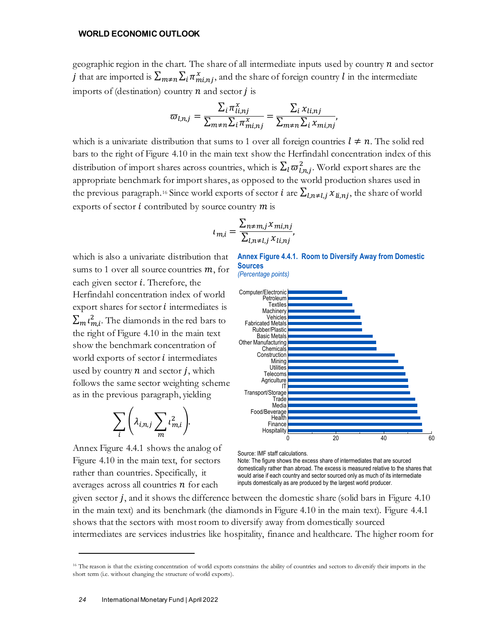geographic region in the chart. The share of all intermediate inputs used by country  $n$  and sector j that are imported is  $\sum_{m\neq n}\sum_i \pi^x_{mi,nj}$ , and the share of foreign country l in the intermediate imports of (destination) country  $n$  and sector  $j$  is

$$
\varpi_{l,n,j} = \frac{\sum_i \pi_{li,nj}^x}{\sum_{m \neq n} \sum_i \pi_{mi,nj}^x} = \frac{\sum_i x_{li,nj}}{\sum_{m \neq n} \sum_i x_{mi,nj}},
$$

which is a univariate distribution that sums to 1 over all foreign countries  $l \neq n$ . The solid red bars to the right of Figure 4.10 in the main text show the Herfindahl concentration index of this distribution of import shares across countries, which is  $\sum_l \varpi_{l,n,j}^2$ . World export shares are the appropriate benchmark for import shares, as opposed to the world production shares used in the previous paragraph.<sup>[16](#page-23-0)</sup> Since world exports of sector *i* are  $\sum_{i,n\neq i,j} x_{i,nj}$ , the share of world exports of sector  $i$  contributed by source country  $m$  is

$$
t_{m,i} = \frac{\sum_{n \neq m,j} x_{mi,nj}}{\sum_{l,n \neq l,j} x_{li,nj}},
$$

which is also a univariate distribution that sums to 1 over all source countries  $m$ , for each given sector  $i$ . Therefore, the Herfindahl concentration index of world export shares for sector  $i$  intermediates is  $\sum_m \iota_{m,i}^2$ . The diamonds in the red bars to the right of Figure 4.10 in the main text show the benchmark concentration of world exports of sector  $i$  intermediates used by country  $n$  and sector  $j$ , which follows the same sector weighting scheme as in the previous paragraph, yielding

$$
\sum_{i}\bigg(\lambda_{i,n,j}\sum_{m}\iota_{m,i}^2\bigg).
$$

Annex Figure 4.4.1 shows the analog of Figure 4.10 in the main text, for sectors rather than countries. Specifically, it averages across all countries  $n$  for each

**Annex Figure 4.4.1. Room to Diversify Away from Domestic Sources**





Source: IMF staff calculations.

Note: The figure shows the excess share of intermediates that are sourced domestically rather than abroad. The excess is measured relative to the shares that would arise if each country and sector sourced only as much of its intermediate inputs domestically as are produced by the largest world producer.

given sector  $j$ , and it shows the difference between the domestic share (solid bars in Figure 4.10) in the main text) and its benchmark (the diamonds in Figure 4.10 in the main text). Figure 4.4.1 shows that the sectors with most room to diversify away from domestically sourced intermediates are services industries like hospitality, finance and healthcare. The higher room for

<span id="page-23-0"></span><sup>&</sup>lt;sup>16</sup> The reason is that the existing concentration of world exports constrains the ability of countries and sectors to diversify their imports in the short term (i.e. without changing the structure of world exports).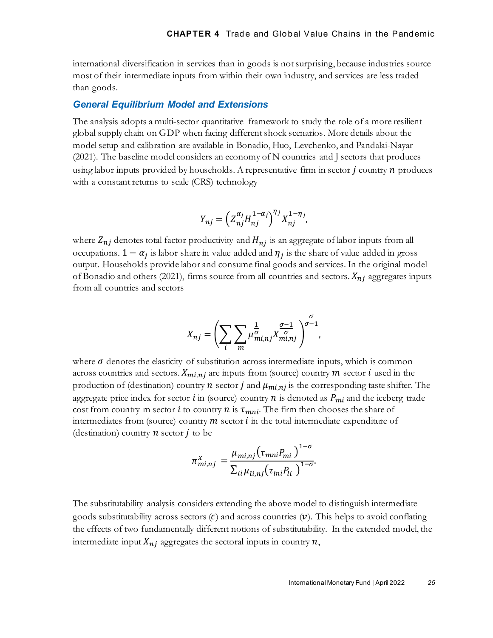international diversification in services than in goods is not surprising, because industries source most of their intermediate inputs from within their own industry, and services are less traded than goods.

#### *General Equilibrium Model and Extensions*

The analysis adopts a multi-sector quantitative framework to study the role of a more resilient global supply chain on GDP when facing different shock scenarios. More details about the model setup and calibration are available in Bonadio, Huo, Levchenko, and Pandalai-Nayar (2021). The baseline model considers an economy of N countries and J sectors that produces using labor inputs provided by households. A representative firm in sector  $j$  country  $n$  produces with a constant returns to scale (CRS) technology

$$
Y_{nj} = \left(Z_{nj}^{\alpha_j} H_{nj}^{1-\alpha_j}\right)^{\eta_j} X_{nj}^{1-\eta_j},
$$

where  $Z_{ni}$  denotes total factor productivity and  $H_{ni}$  is an aggregate of labor inputs from all occupations.  $1 - \alpha_i$  is labor share in value added and  $\eta_i$  is the share of value added in gross output. Households provide labor and consume final goods and services. In the original model of Bonadio and others (2021), firms source from all countries and sectors.  $X_{ni}$  aggregates inputs from all countries and sectors

$$
X_{nj} = \left(\sum_{i} \sum_{m} \mu_{mi,nj}^{\frac{1}{\sigma}} X_{mi,nj}^{\frac{\sigma-1}{\sigma}}\right)^{\frac{\sigma}{\sigma-1}},
$$

where  $\sigma$  denotes the elasticity of substitution across intermediate inputs, which is common across countries and sectors.  $X_{mi,nj}$  are inputs from (source) country m sector *i* used in the production of (destination) country *n* sector *j* and  $\mu_{minj}$  is the corresponding taste shifter. The aggregate price index for sector  $i$  in (source) country  $n$  is denoted as  $P_{mi}$  and the iceberg trade cost from country m sector *i* to country *n* is  $\tau_{mni}$ . The firm then chooses the share of intermediates from (source) country  $m$  sector  $i$  in the total intermediate expenditure of (destination) country  $n$  sector  $j$  to be

$$
\pi_{mi,nj}^x = \frac{\mu_{mi,nj}(\tau_{mni}P_{mi})^{1-\sigma}}{\sum_{li}\mu_{li,nj}(\tau_{mi}P_{li})^{1-\sigma}}.
$$

The substitutability analysis considers extending the above model to distinguish intermediate goods substitutability across sectors  $(\epsilon)$  and across countries  $(\nu)$ . This helps to avoid conflating the effects of two fundamentally different notions of substitutability. In the extended model, the intermediate input  $X_{ni}$  aggregates the sectoral inputs in country  $n$ ,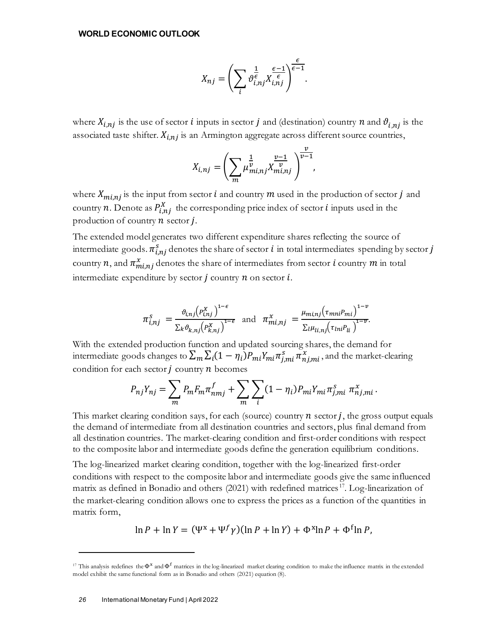$$
X_{nj} = \left(\sum_{i} \vartheta_{i,nj}^{\frac{1}{\epsilon}} X_{i,nj}^{\frac{\epsilon-1}{\epsilon}}\right)^{\frac{\epsilon}{\epsilon-1}}.
$$

where  $X_{i,nj}$  is the use of sector *i* inputs in sector *j* and (destination) country *n* and  $\vartheta_{i,nj}$  is the associated taste shifter.  $X_{i,n}$  is an Armington aggregate across different source countries,

$$
X_{i,nj} = \left(\sum_{m} \mu_{mi,nj}^{\frac{1}{\nu}} X_{mi,nj}^{\frac{\nu-1}{\nu}}\right)^{\frac{\nu}{\nu-1}},
$$

where  $X_{mi,nj}$  is the input from sector *i* and country m used in the production of sector *j* and country *n*. Denote as  $P_{i,nj}^X$  the corresponding price index of sector *i* inputs used in the production of country  $n$  sector  $j$ .

The extended model generates two different expenditure shares reflecting the source of intermediate goods.  $\pi^s_{i,nj}$  denotes the share of sector  $i$  in total intermediates spending by sector  $j$ country n, and  $\pi^x_{mi,nj}$  denotes the share of intermediates from sector  $i$  country  $m$  in total intermediate expenditure by sector  $j$  country  $n$  on sector  $i$ .

$$
\pi_{i,nj}^s = \frac{\vartheta_{i,nj} (P_{i,nj}^X)^{1-\epsilon}}{\sum_k \vartheta_{k,nj} (P_{k,nj}^X)^{1-\epsilon}} \text{ and } \pi_{mi,nj}^x = \frac{\mu_{mi,nj} (\tau_{mni} P_{mi})^{1-\nu}}{\sum_l \mu_{li,nj} (\tau_{lnl} P_{li})^{1-\nu}}.
$$

With the extended production function and updated sourcing shares, the demand for intermediate goods changes to  $\sum_m \sum_i (1-\eta_i) P_{mi} Y_{mi} \pi_{j,mi}^s \pi_{nj,mi}^x$ , and the market-clearing condition for each sector  $j$  country  $n$  becomes

$$
P_{nj}Y_{nj} = \sum_{m} P_m F_m \pi_{nmj}^f + \sum_{m} \sum_{i} (1 - \eta_i) P_{mi} Y_{mi} \pi_{j,mi}^s \pi_{nj,mi}^x.
$$

This market clearing condition says, for each (source) country  $n$  sector  $j$ , the gross output equals the demand of intermediate from all destination countries and sectors, plus final demand from all destination countries. The market-clearing condition and first-order conditions with respect to the composite labor and intermediate goods define the generation equilibrium conditions.

The log-linearized market clearing condition, together with the log-linearized first-order conditions with respect to the composite labor and intermediate goods give the same influenced matrix as defined in Bonadio and others (2021) with redefined matrices [17](#page-25-0). Log-linearization of the market-clearing condition allows one to express the prices as a function of the quantities in matrix form,

$$
\ln P + \ln Y = (\Psi^x + \Psi^f \gamma)(\ln P + \ln Y) + \Phi^x \ln P + \Phi^f \ln P,
$$

<span id="page-25-0"></span><sup>&</sup>lt;sup>17</sup> This analysis redefines the  $\Phi^x$  and  $\Phi^f$  matrices in the log-linearized market clearing condition to make the influence matrix in the extended model exhibit the same functional form as in Bonadio and others (2021) equation (8).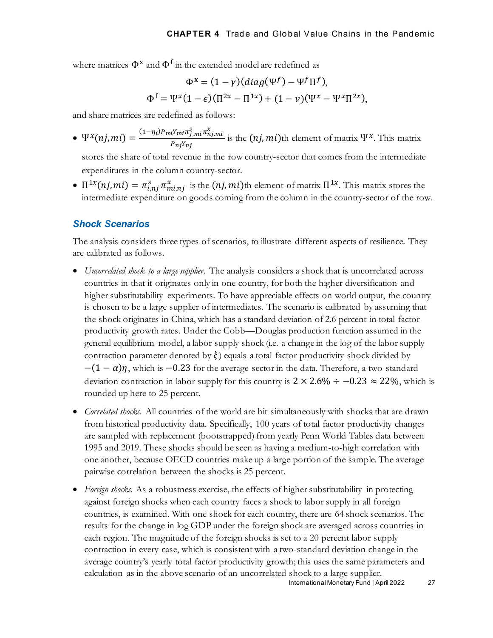where matrices  $\Phi^x$  and  $\Phi^f$  in the extended model are redefined as

$$
\Phi^x = (1 - \gamma)(diag(\Psi^f) - \Psi^f \Pi^f),
$$
  

$$
\Phi^f = \Psi^x (1 - \epsilon)(\Pi^{2x} - \Pi^{1x}) + (1 - \nu)(\Psi^x - \Psi^x \Pi^{2x}),
$$

and share matrices are redefined as follows:

•  $\Psi^{\chi}(n j,m i) = \frac{(1-\eta_i) P_{mi} Y_{mi} \pi_{j,m i}^S \pi_{nj,m}^{\chi}}{P_{m,i} Y_{m,i}}$  $\frac{d^2 m t^3 f, m t^3 g, m t^2 h}{d^2 m^2 f}$  is the  $(nj, mi)$ th element of matrix  $\Psi^x$ . This matrix

stores the share of total revenue in the row country-sector that comes from the intermediate expenditures in the column country-sector.

•  $\Pi^{1x}(nj,mi) = \pi_{i,nj}^s \pi_{mi,nj}^x$  is the  $(nj,mi)$ th element of matrix  $\Pi^{1x}$ . This matrix stores the intermediate expenditure on goods coming from the column in the country-sector of the row.

#### *Shock Scenarios*

The analysis considers three types of scenarios, to illustrate different aspects of resilience. They are calibrated as follows.

- *Uncorrelated shock to a large supplier*. The analysis considers a shock that is uncorrelated across countries in that it originates only in one country, for both the higher diversification and higher substitutability experiments. To have appreciable effects on world output, the country is chosen to be a large supplier of intermediates. The scenario is calibrated by assuming that the shock originates in China, which has a standard deviation of 2.6 percent in total factor productivity growth rates. Under the Cobb—Douglas production function assumed in the general equilibrium model, a labor supply shock (i.e. a change in the log of the labor supply contraction parameter denoted by  $\xi$ ) equals a total factor productivity shock divided by  $-(1 - \alpha)\eta$ , which is -0.23 for the average sector in the data. Therefore, a two-standard deviation contraction in labor supply for this country is  $2 \times 2.6\% \div -0.23 \approx 22\%$ , which is rounded up here to 25 percent.
- *Correlated shocks*. All countries of the world are hit simultaneously with shocks that are drawn from historical productivity data. Specifically, 100 years of total factor productivity changes are sampled with replacement (bootstrapped) from yearly Penn World Tables data between 1995 and 2019. These shocks should be seen as having a medium-to-high correlation with one another, because OECD countries make up a large portion of the sample. The average pairwise correlation between the shocks is 25 percent.
- *Foreign shocks*. As a robustness exercise, the effects of higher substitutability in protecting against foreign shocks when each country faces a shock to labor supply in all foreign countries, is examined. With one shock for each country, there are 64 shock scenarios. The results for the change in log GDP under the foreign shock are averaged across countries in each region. The magnitude of the foreign shocks is set to a 20 percent labor supply contraction in every case, which is consistent with a two-standard deviation change in the average country's yearly total factor productivity growth; this uses the same parameters and calculation as in the above scenario of an uncorrelated shock to a large supplier.

International Monetary Fund | April 2022 *27*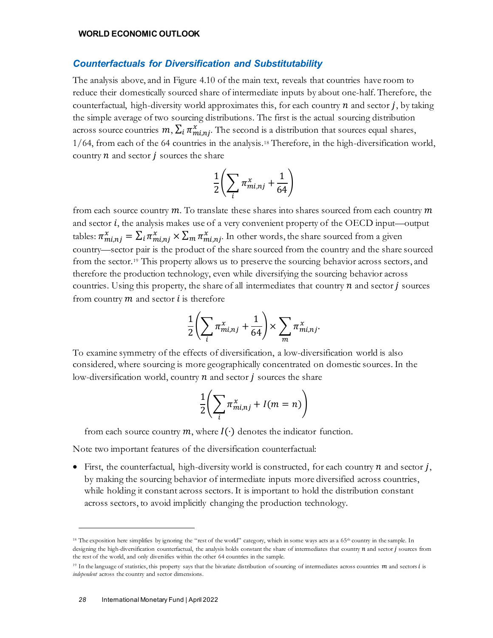#### *Counterfactuals for Diversification and Substitutability*

The analysis above, and in Figure 4.10 of the main text, reveals that countries have room to reduce their domestically sourced share of intermediate inputs by about one-half. Therefore, the counterfactual, high-diversity world approximates this, for each country  $n$  and sector  $j$ , by taking the simple average of two sourcing distributions. The first is the actual sourcing distribution across source countries  $m, \sum_i \pi^x_{mi,nj}$ . The second is a distribution that sources equal shares, 1/64, from each of the 64 countries in the analysis.[18](#page-27-0) Therefore, in the high-diversification world, country  $n$  and sector  $j$  sources the share

$$
\frac{1}{2}\biggl(\sum_i \pi_{mi,nj}^x + \frac{1}{64}\biggr)
$$

from each source country  $m$ . To translate these shares into shares sourced from each country  $m$ and sector  $i$ , the analysis makes use of a very convenient property of the OECD input—output tables:  $\pi^x_{mi,nj} = \sum_i \pi^x_{mi,nj} \times \sum_m \pi^x_{mi,nj}$ . In other words, the share sourced from a given country—sector pair is the product of the share sourced from the country and the share sourced from the sector.[19](#page-27-1) This property allows us to preserve the sourcing behavior across sectors, and therefore the production technology, even while diversifying the sourcing behavior across countries. Using this property, the share of all intermediates that country  $n$  and sector  $j$  sources from country  $m$  and sector  $i$  is therefore

$$
\frac{1}{2}\left(\sum_{i}\pi_{mi,nj}^{x}+\frac{1}{64}\right)\times\sum_{m}\pi_{mi,nj}^{x}.
$$

To examine symmetry of the effects of diversification, a low-diversification world is also considered, where sourcing is more geographically concentrated on domestic sources. In the low-diversification world, country  $n$  and sector  $j$  sources the share

$$
\frac{1}{2}\bigg(\sum_{i} \pi_{mi,nj}^{x} + I(m = n)\bigg)
$$

from each source country  $m$ , where  $I(\cdot)$  denotes the indicator function.

Note two important features of the diversification counterfactual:

• First, the counterfactual, high-diversity world is constructed, for each country  $n$  and sector  $j$ , by making the sourcing behavior of intermediate inputs more diversified across countries, while holding it constant across sectors. It is important to hold the distribution constant across sectors, to avoid implicitly changing the production technology.

<span id="page-27-0"></span><sup>&</sup>lt;sup>18</sup> The exposition here simplifies by ignoring the "rest of the world" category, which in some ways acts as a 65<sup>th</sup> country in the sample. In designing the high-diversification counterfactual, the analysis holds constant the share of intermediates that country  $n$  and sector  $j$  sources from the rest of the world, and only diversifies within the other 64 countries in the sample.

<span id="page-27-1"></span><sup>&</sup>lt;sup>19</sup> In the language of statistics, this property says that the bivariate distribution of sourcing of intermediates across countries m and sectors *i* is *independent* across the country and sector dimensions.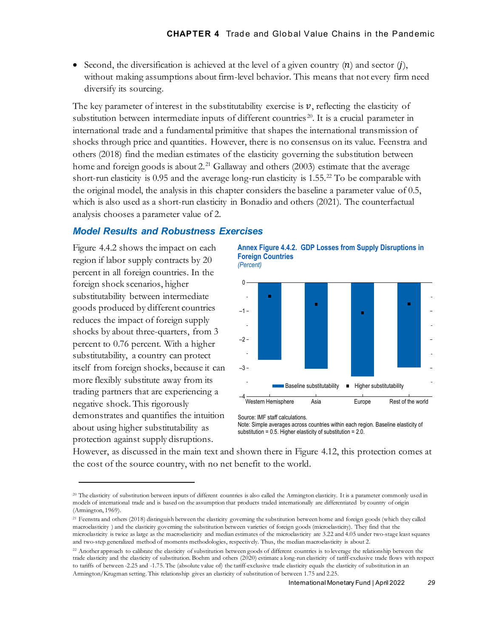• Second, the diversification is achieved at the level of a given country  $(n)$  and sector  $(i)$ , without making assumptions about firm-level behavior. This means that not every firm need diversify its sourcing.

The key parameter of interest in the substitutability exercise is  $v$ , reflecting the elasticity of substitution between intermediate inputs of different countries<sup>[20](#page-28-0)</sup>. It is a crucial parameter in international trade and a fundamental primitive that shapes the international transmission of shocks through price and quantities. However, there is no consensus on its value. Feenstra and others (2018) find the median estimates of the elasticity governing the substitution between home and foreign goods is about  $2^{21}$  $2^{21}$  $2^{21}$  Gallaway and others (2003) estimate that the average short-run elasticity is 0.95 and the average long-run elasticity is 1.55.[22](#page-28-2) To be comparable with the original model, the analysis in this chapter considers the baseline a parameter value of 0.5, which is also used as a short-run elasticity in Bonadio and others (2021). The counterfactual analysis chooses a parameter value of 2.

### *Model Results and Robustness Exercises*

Figure 4.4.2 shows the impact on each region if labor supply contracts by 20 percent in all foreign countries. In the foreign shock scenarios, higher substitutability between intermediate goods produced by different countries reduces the impact of foreign supply shocks by about three-quarters, from 3 percent to 0.76 percent. With a higher substitutability, a country can protect itself from foreign shocks, because it can more flexibly substitute away from its trading partners that are experiencing a negative shock. This rigorously demonstrates and quantifies the intuition about using higher substitutability as protection against supply disruptions.

**Annex Figure 4.4.2. GDP Losses from Supply Disruptions in Foreign Countries** *(Percent)*



Source: IMF staff calculations.

Note: Simple averages across countries within each region. Baseline elasticity of substitution =  $0.5$ . Higher elasticity of substitution =  $2.0$ .

However, as discussed in the main text and shown there in Figure 4.12, this protection comes at the cost of the source country, with no net benefit to the world.

<span id="page-28-0"></span><sup>&</sup>lt;sup>20</sup> The elasticity of substitution between inputs of different countries is also called the Armington elasticity. It is a parameter commonly used in models of international trade and is based on the assumption that products traded internationally are differentiated by country of origin (Armington, 1969).

<span id="page-28-1"></span><sup>&</sup>lt;sup>21</sup> Feenstra and others (2018) distinguish between the elasticity governing the substitution between home and foreign goods (which they called macroelasticity ) and the elasticity governing the substitution between varieties of foreign goods (microelasticity). They find that the microelasticity is twice as large as the macroelasticity and median estimates of the microelasticity are 3.22 and 4.05 under two-stage least squares and two-step generalized method of moments methodologies, respectively. Thus, the median macroelasticity is about 2.

<span id="page-28-2"></span><sup>&</sup>lt;sup>22</sup> Another approach to calibrate the elasticity of substitution between goods of different countries is to leverage the relationship between the trade elasticity and the elasticity of substitution. Boehm and others (2020) estimate a long-run elasticity of tariff-exclusive trade flows with respect to tariffs of between -2.25 and -1.75. The (absolute value of) the tariff-exclusive trade elasticity equals the elasticity of substitution in an Armington/Krugman setting. This relationship gives an elasticity of substitution of between 1.75 and 2.25.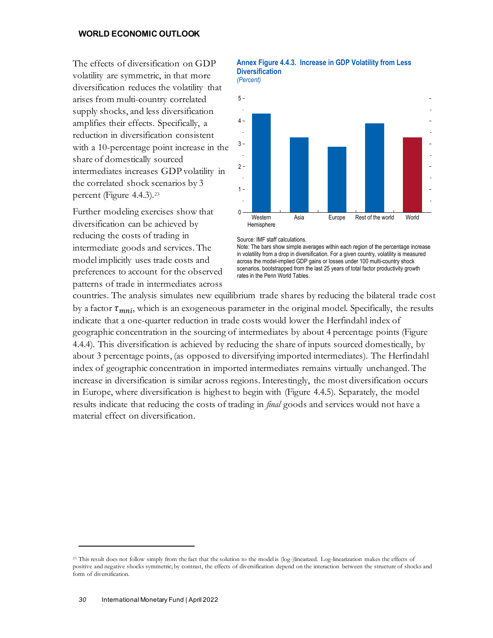The effects of diversification on GDP volatility are symmetric, in that more diversification reduces the volatility that arises from multi-country correlated supply shocks, and less diversification amplifies their effects. Specifically, a reduction in diversification consistent with a 10-percentage point increase in the share of domestically sourced intermediates increases GDP volatility in the correlated shock scenarios by 3 percent (Figure 4.4.3).<sup>[23](#page-29-0)</sup>

Further modeling exercises show that diversification can be achieved by reducing the costs of trading in intermediate goods and services. The model implicitly uses trade costs and preferences to account for the observed patterns of trade in intermediates across

## **Annex Figure 4.4.3. Increase in GDP Volatility from Less Diversification**





Source: IMF staff calculations.

Note: The bars show simple averages within each region of the percentage increase in volatility from a drop in diversification. For a given country, volatility is measured across the model-implied GDP gains or losses under 100 multi-country shock scenarios, bootstrapped from the last 25 years of total factor productivity growth rates in the Penn World Tables.

countries. The analysis simulates new equilibrium trade shares by reducing the bilateral trade cost by a factor  $\tau_{mni}$ , which is an exogeneous parameter in the original model. Specifically, the results indicate that a one-quarter reduction in trade costs would lower the Herfindahl index of geographic concentration in the sourcing of intermediates by about 4 percentage points (Figure 4.4.4). This diversification is achieved by reducing the share of inputs sourced domestically, by about 3 percentage points, (as opposed to diversifying imported intermediates). The Herfindahl index of geographic concentration in imported intermediates remains virtually unchanged. The increase in diversification is similar across regions. Interestingly, the most diversification occurs in Europe, where diversification is highest to begin with (Figure 4.4.5). Separately, the model results indicate that reducing the costs of trading in *final* goods and services would not have a material effect on diversification.

<span id="page-29-0"></span><sup>&</sup>lt;sup>23</sup> This result does not follow simply from the fact that the solution to the model is (log-)linearized. Log-linearization makes the effects of positive and negative shocks symmetric; by contrast, the effects of diversification depend on the interaction between the structure of shocks and form of diversification.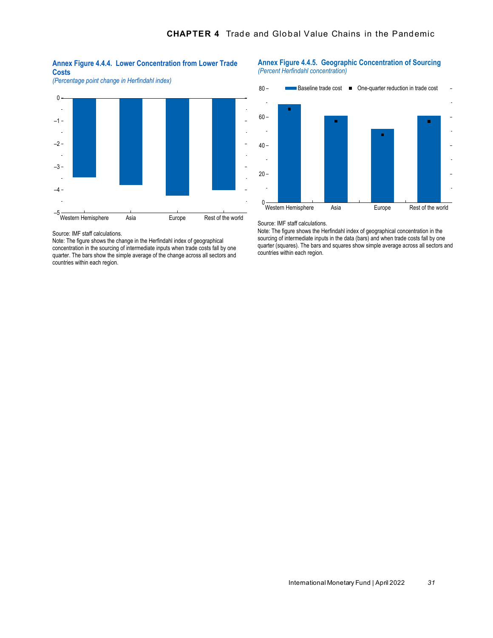#### **Annex Figure 4.4.4. Lower Concentration from Lower Trade Costs**





Source: IMF staff calculations.

Note: The figure shows the change in the Herfindahl index of geographical concentration in the sourcing of intermediate inputs when trade costs fall by one quarter. The bars show the simple average of the change across all sectors and countries within each region.

#### **Annex Figure 4.4.5. Geographic Concentration of Sourcing** *(Percent Herfindahl concentration)*



Source: IMF staff calculations.

Note: The figure shows the Herfindahl index of geographical concentration in the sourcing of intermediate inputs in the data (bars) and when trade costs fall by one quarter (squares). The bars and squares show simple average across all sectors and countries within each region.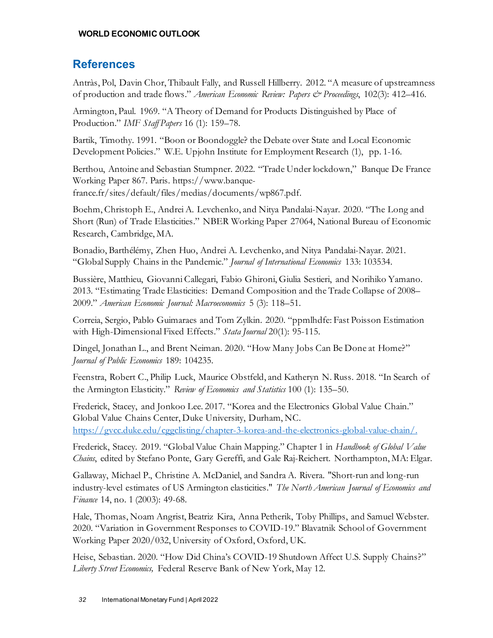# **References**

Antràs, Pol, Davin Chor, Thibault Fally, and Russell Hillberry. 2012. "A measure of upstreamness of production and trade flows." *American Economic Review: Papers & Proceedings*, 102(3): 412–416.

Armington, Paul. 1969. "A Theory of Demand for Products Distinguished by Place of Production." *IMF Staff Papers* 16 (1): 159–78.

Bartik, Timothy. 1991. "Boon or Boondoggle? the Debate over State and Local Economic Development Policies." W.E. Upjohn Institute for Employment Research (1), pp. 1-16.

Berthou, Antoine and Sebastian Stumpner. 2022. "Trade Under lockdown," Banque De France Working Paper 867. Paris. https://www.banquefrance.fr/sites/default/files/medias/documents/wp867.pdf.

Boehm, Christoph E., Andrei A. Levchenko, and Nitya Pandalai-Nayar. 2020. "The Long and Short (Run) of Trade Elasticities." NBER Working Paper 27064, National Bureau of Economic Research, Cambridge, MA.

Bonadio, Barthélémy, Zhen Huo, Andrei A. Levchenko, and Nitya Pandalai-Nayar. 2021. "Global Supply Chains in the Pandemic." *Journal of International Economics* 133: 103534.

Bussière, Matthieu, Giovanni Callegari, Fabio Ghironi, Giulia Sestieri, and Norihiko Yamano. 2013. "Estimating Trade Elasticities: Demand Composition and the Trade Collapse of 2008– 2009." *American Economic Journal: Macroeconomics* 5 (3): 118–51.

Correia, Sergio, Pablo Guimaraes and Tom Zylkin. 2020. "ppmlhdfe: Fast Poisson Estimation with High-Dimensional Fixed Effects." *Stata Journal* 20(1): 95-115.

Dingel, Jonathan L., and Brent Neiman. 2020. "How Many Jobs Can Be Done at Home?" *Journal of Public Economics* 189: 104235.

Feenstra, Robert C., Philip Luck, Maurice Obstfeld, and Katheryn N. Russ. 2018. "In Search of the Armington Elasticity." *Review of Economics and Statistics* 100 (1): 135–50.

Frederick, Stacey, and Jonkoo Lee. 2017. "Korea and the Electronics Global Value Chain." Global Value Chains Center, Duke University, Durham, NC. [https://gvcc.duke.edu/cggclisting/chapter-3-korea-and-the-electronics-global-value-chain/.](https://gvcc.duke.edu/cggclisting/chapter-3-korea-and-the-electronics-global-value-chain/)

Frederick, Stacey. 2019. "Global Value Chain Mapping." Chapter 1 in *Handbook of Global Value Chains*, edited by Stefano Ponte, Gary Gereffi, and Gale Raj-Reichert. Northampton, MA: Elgar.

Gallaway, Michael P., Christine A. McDaniel, and Sandra A. Rivera. "Short-run and long-run industry-level estimates of US Armington elasticities." *The North American Journal of Economics and Finance* 14, no. 1 (2003): 49-68.

Hale, Thomas, Noam Angrist, Beatriz Kira, Anna Petherik, Toby Phillips, and Samuel Webster. 2020. "Variation in Government Responses to COVID-19." Blavatnik School of Government Working Paper 2020/032, University of Oxford, Oxford, UK.

Heise, Sebastian. 2020. "How Did China's COVID-19 Shutdown Affect U.S. Supply Chains?" *Liberty Street Economics,* Federal Reserve Bank of New York, May 12.